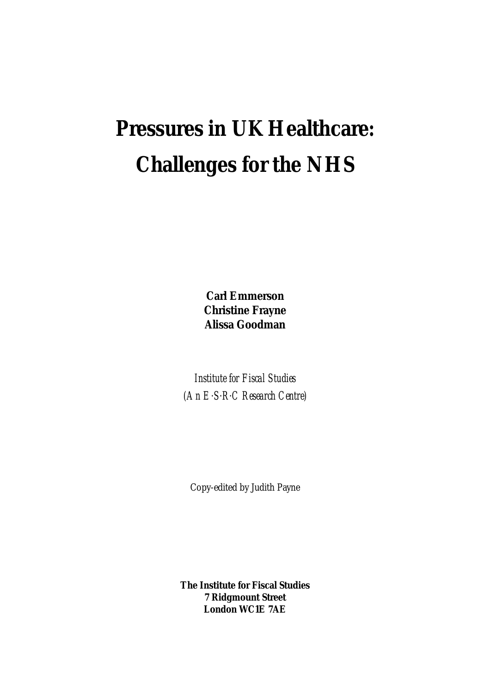# **Pressures in UK Healthcare: Challenges for the NHS**

**Carl Emmerson Christine Frayne Alissa Goodman**

*Institute for Fiscal Studies (An E. S. R. C Research Centre)*

Copy-edited by Judith Payne

**The Institute for Fiscal Studies 7 Ridgmount Street London WC1E 7AE**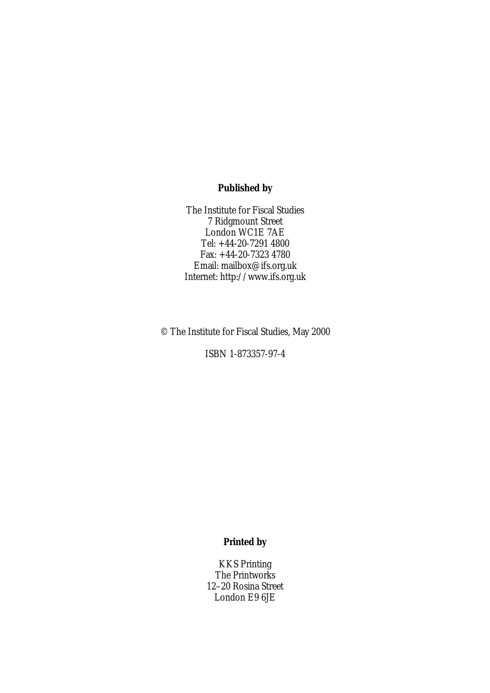## **Published by**

The Institute for Fiscal Studies 7 Ridgmount Street London WC1E 7AE Tel: +44-20-7291 4800 Fax: +44-20-7323 4780 Email: mailbox@ifs.org.uk Internet: http://www.ifs.org.uk

© The Institute for Fiscal Studies, May 2000

ISBN 1-873357-97-4

## **Printed by**

KKS Printing The Printworks 12–20 Rosina Street London E9 6JE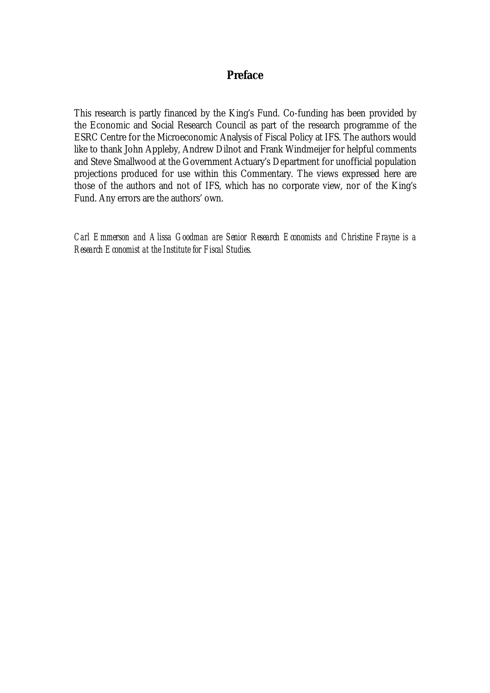## **Preface**

This research is partly financed by the King's Fund. Co-funding has been provided by the Economic and Social Research Council as part of the research programme of the ESRC Centre for the Microeconomic Analysis of Fiscal Policy at IFS. The authors would like to thank John Appleby, Andrew Dilnot and Frank Windmeijer for helpful comments and Steve Smallwood at the Government Actuary's Department for unofficial population projections produced for use within this Commentary. The views expressed here are those of the authors and not of IFS, which has no corporate view, nor of the King's Fund. Any errors are the authors' own.

*Carl Emmerson and Alissa Goodman are Senior Research Economists and Christine Frayne is a Research Economist at the Institute for Fiscal Studies.*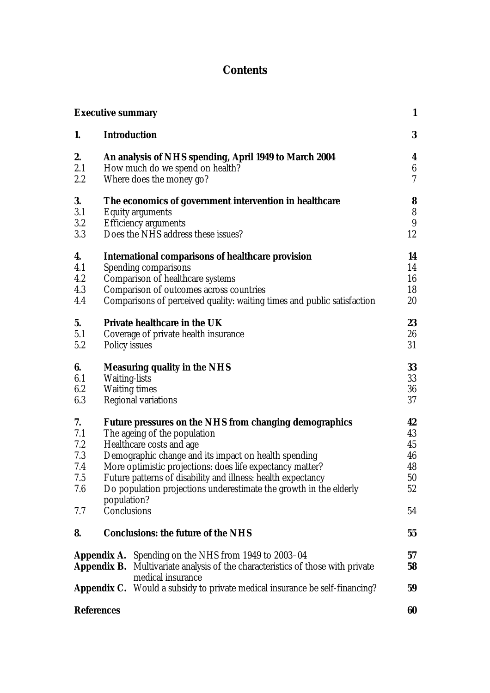# **Contents**

|                   | <b>Executive summary</b>                                                                                   | 1                        |
|-------------------|------------------------------------------------------------------------------------------------------------|--------------------------|
| 1.                | <b>Introduction</b>                                                                                        | 3                        |
| 2.                | An analysis of NHS spending, April 1949 to March 2004                                                      | 4                        |
| 2.1               | How much do we spend on health?                                                                            | $6\phantom{.}6$          |
| 2.2               | Where does the money go?                                                                                   | $\overline{\mathcal{U}}$ |
| 3.                | The economics of government intervention in healthcare                                                     | 8                        |
| 3.1               | <b>Equity arguments</b>                                                                                    | ${\bf 8}$                |
| 3.2               | <b>Efficiency arguments</b>                                                                                | 9                        |
| 3.3               | Does the NHS address these issues?                                                                         | 12                       |
| 4.                | <b>International comparisons of healthcare provision</b>                                                   | 14                       |
| 4.1               | Spending comparisons                                                                                       | 14                       |
| 4.2               | <b>Comparison of healthcare systems</b>                                                                    | 16                       |
| 4.3               | Comparison of outcomes across countries                                                                    | 18                       |
| 4.4               | Comparisons of perceived quality: waiting times and public satisfaction                                    | 20                       |
| 5.                | <b>Private healthcare in the UK</b>                                                                        | 23                       |
| 5.1               | Coverage of private health insurance                                                                       | 26                       |
| 5.2               | <b>Policy issues</b>                                                                                       | 31                       |
| 6.                | <b>Measuring quality in the NHS</b>                                                                        | 33                       |
| 6.1               | <b>Waiting-lists</b>                                                                                       | 33                       |
| 6.2               | <b>Waiting times</b>                                                                                       | 36                       |
| 6.3               | Regional variations                                                                                        | 37                       |
| 7.                | Future pressures on the NHS from changing demographics                                                     | 42                       |
| 7.1               | The ageing of the population                                                                               | 43                       |
| 7.2               | Healthcare costs and age                                                                                   | 45                       |
| 7.3               | Demographic change and its impact on health spending                                                       | 46                       |
| 7.4               | More optimistic projections: does life expectancy matter?                                                  | 48                       |
| 7.5               | Future patterns of disability and illness: health expectancy                                               | 50                       |
| 7.6               | Do population projections underestimate the growth in the elderly<br>population?                           | 52                       |
| 7.7               | Conclusions                                                                                                | 54                       |
| 8.                | <b>Conclusions: the future of the NHS</b>                                                                  | 55                       |
|                   | <b>Appendix A.</b> Spending on the NHS from 1949 to 2003–04                                                | 57                       |
|                   | <b>Appendix B.</b> Multivariate analysis of the characteristics of those with private<br>medical insurance | 58                       |
|                   | <b>Appendix C.</b> Would a subsidy to private medical insurance be self-financing?                         | 59                       |
| <b>References</b> |                                                                                                            | 60                       |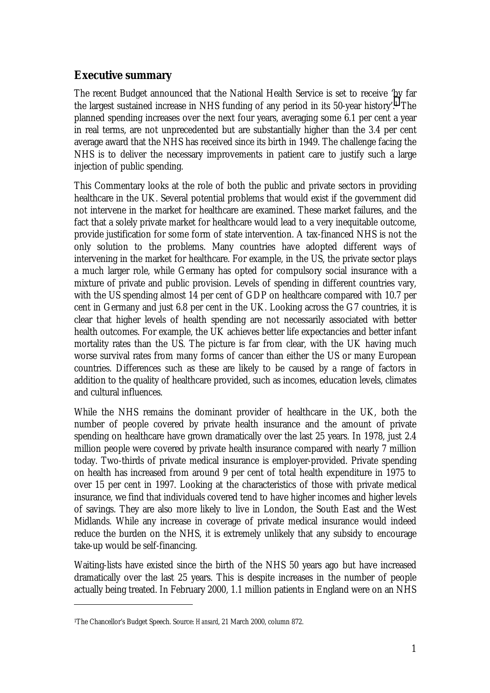# **Executive summary**

The recent Budget announced that the National Health Service is set to receive 'by far the largest sustained increase in NHS funding of any period in its 50-year history'.1 The planned spending increases over the next four years, averaging some 6.1 per cent a year in real terms, are not unprecedented but are substantially higher than the 3.4 per cent average award that the NHS has received since its birth in 1949. The challenge facing the NHS is to deliver the necessary improvements in patient care to justify such a large injection of public spending.

This Commentary looks at the role of both the public and private sectors in providing healthcare in the UK. Several potential problems that would exist if the government did not intervene in the market for healthcare are examined. These market failures, and the fact that a solely private market for healthcare would lead to a very inequitable outcome, provide justification for some form of state intervention. A tax-financed NHS is not the only solution to the problems. Many countries have adopted different ways of intervening in the market for healthcare. For example, in the US, the private sector plays a much larger role, while Germany has opted for compulsory social insurance with a mixture of private and public provision. Levels of spending in different countries vary, with the US spending almost 14 per cent of GDP on healthcare compared with 10.7 per cent in Germany and just 6.8 per cent in the UK. Looking across the G7 countries, it is clear that higher levels of health spending are not necessarily associated with better health outcomes. For example, the UK achieves better life expectancies and better infant mortality rates than the US. The picture is far from clear, with the UK having much worse survival rates from many forms of cancer than either the US or many European countries. Differences such as these are likely to be caused by a range of factors in addition to the quality of healthcare provided, such as incomes, education levels, climates and cultural influences.

While the NHS remains the dominant provider of healthcare in the UK, both the number of people covered by private health insurance and the amount of private spending on healthcare have grown dramatically over the last 25 years. In 1978, just 2.4 million people were covered by private health insurance compared with nearly 7 million today. Two-thirds of private medical insurance is employer-provided. Private spending on health has increased from around 9 per cent of total health expenditure in 1975 to over 15 per cent in 1997. Looking at the characteristics of those with private medical insurance, we find that individuals covered tend to have higher incomes and higher levels of savings. They are also more likely to live in London, the South East and the West Midlands. While any increase in coverage of private medical insurance would indeed reduce the burden on the NHS, it is extremely unlikely that any subsidy to encourage take-up would be self-financing.

Waiting-lists have existed since the birth of the NHS 50 years ago but have increased dramatically over the last 25 years. This is despite increases in the number of people actually being treated. In February 2000, 1.1 million patients in England were on an NHS

<sup>1</sup>The Chancellor's Budget Speech. Source: *Hansard*, 21 March 2000, column 872.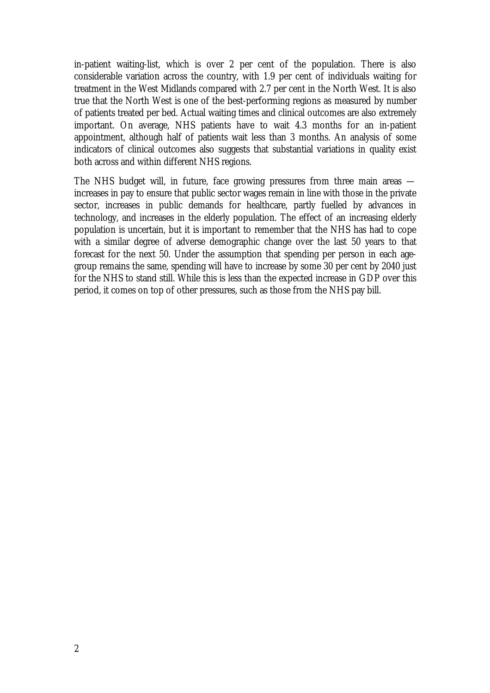in-patient waiting-list, which is over 2 per cent of the population. There is also considerable variation across the country, with 1.9 per cent of individuals waiting for treatment in the West Midlands compared with 2.7 per cent in the North West. It is also true that the North West is one of the best-performing regions as measured by number of patients treated per bed. Actual waiting times and clinical outcomes are also extremely important. On average, NHS patients have to wait 4.3 months for an in-patient appointment, although half of patients wait less than 3 months. An analysis of some indicators of clinical outcomes also suggests that substantial variations in quality exist both across and within different NHS regions.

The NHS budget will, in future, face growing pressures from three main areas increases in pay to ensure that public sector wages remain in line with those in the private sector, increases in public demands for healthcare, partly fuelled by advances in technology, and increases in the elderly population. The effect of an increasing elderly population is uncertain, but it is important to remember that the NHS has had to cope with a similar degree of adverse demographic change over the last 50 years to that forecast for the next 50. Under the assumption that spending per person in each agegroup remains the same, spending will have to increase by some 30 per cent by 2040 just for the NHS to stand still. While this is less than the expected increase in GDP over this period, it comes on top of other pressures, such as those from the NHS pay bill.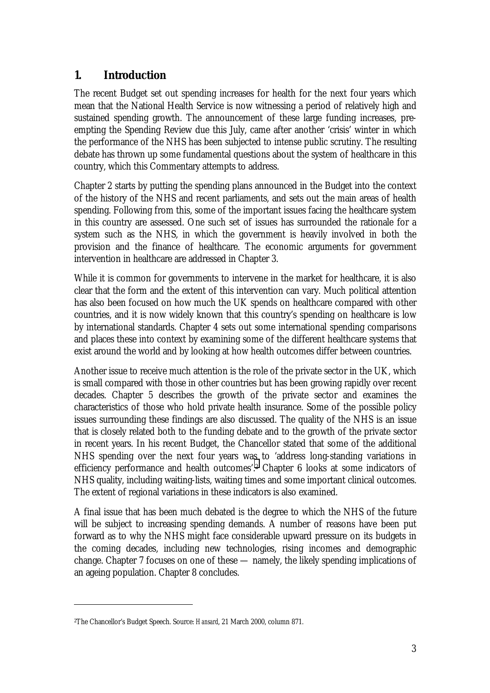# **1. Introduction**

The recent Budget set out spending increases for health for the next four years which mean that the National Health Service is now witnessing a period of relatively high and sustained spending growth. The announcement of these large funding increases, preempting the Spending Review due this July, came after another 'crisis' winter in which the performance of the NHS has been subjected to intense public scrutiny. The resulting debate has thrown up some fundamental questions about the system of healthcare in this country, which this Commentary attempts to address.

Chapter 2 starts by putting the spending plans announced in the Budget into the context of the history of the NHS and recent parliaments, and sets out the main areas of health spending. Following from this, some of the important issues facing the healthcare system in this country are assessed. One such set of issues has surrounded the rationale for a system such as the NHS, in which the government is heavily involved in both the provision and the finance of healthcare. The economic arguments for government intervention in healthcare are addressed in Chapter 3.

While it is common for governments to intervene in the market for healthcare, it is also clear that the form and the extent of this intervention can vary. Much political attention has also been focused on how much the UK spends on healthcare compared with other countries, and it is now widely known that this country's spending on healthcare is low by international standards. Chapter 4 sets out some international spending comparisons and places these into context by examining some of the different healthcare systems that exist around the world and by looking at how health outcomes differ between countries.

Another issue to receive much attention is the role of the private sector in the UK, which is small compared with those in other countries but has been growing rapidly over recent decades. Chapter 5 describes the growth of the private sector and examines the characteristics of those who hold private health insurance. Some of the possible policy issues surrounding these findings are also discussed. The quality of the NHS is an issue that is closely related both to the funding debate and to the growth of the private sector in recent years. In his recent Budget, the Chancellor stated that some of the additional NHS spending over the next four years was to 'address long-standing variations in efficiency performance and health outcomes'.2 Chapter 6 looks at some indicators of NHS quality, including waiting-lists, waiting times and some important clinical outcomes. The extent of regional variations in these indicators is also examined.

A final issue that has been much debated is the degree to which the NHS of the future will be subject to increasing spending demands. A number of reasons have been put forward as to why the NHS might face considerable upward pressure on its budgets in the coming decades, including new technologies, rising incomes and demographic change. Chapter 7 focuses on one of these — namely, the likely spending implications of an ageing population. Chapter 8 concludes.

<sup>2</sup>The Chancellor's Budget Speech. Source: *Hansard*, 21 March 2000, column 871.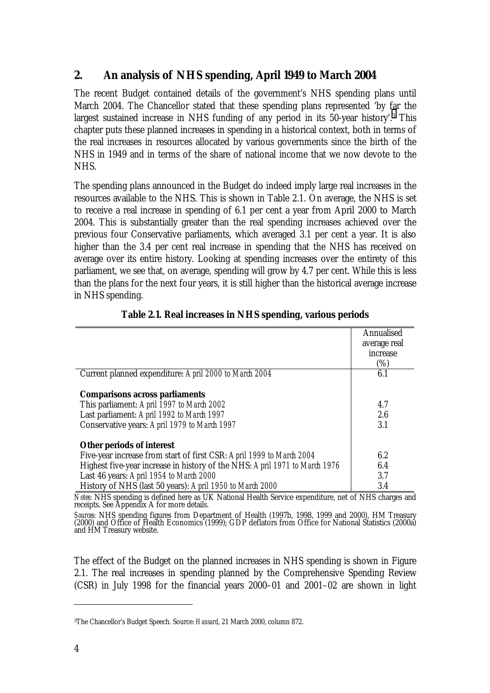# **2. An analysis of NHS spending, April 1949 to March 2004**

The recent Budget contained details of the government's NHS spending plans until March 2004. The Chancellor stated that these spending plans represented 'by far the largest sustained increase in NHS funding of any period in its 50-year history'.3 This chapter puts these planned increases in spending in a historical context, both in terms of the real increases in resources allocated by various governments since the birth of the NHS in 1949 and in terms of the share of national income that we now devote to the NHS.

The spending plans announced in the Budget do indeed imply large real increases in the resources available to the NHS. This is shown in Table 2.1. On average, the NHS is set to receive a real increase in spending of 6.1 per cent a year from April 2000 to March 2004. This is substantially greater than the real spending increases achieved over the previous four Conservative parliaments, which averaged 3.1 per cent a year. It is also higher than the 3.4 per cent real increase in spending that the NHS has received on average over its entire history. Looking at spending increases over the entirety of this parliament, we see that, on average, spending will grow by 4.7 per cent. While this is less than the plans for the next four years, it is still higher than the historical average increase in NHS spending.

|                                                                            | Annualised   |
|----------------------------------------------------------------------------|--------------|
|                                                                            | average real |
|                                                                            | increase     |
|                                                                            | (%)          |
| Current planned expenditure: April 2000 to March 2004                      | 6.1          |
|                                                                            |              |
| <b>Comparisons across parliaments</b>                                      |              |
| This parliament: April 1997 to March 2002                                  | 4.7          |
| Last parliament: April 1992 to March 1997                                  | 2.6          |
| Conservative years: April 1979 to March 1997                               | 3.1          |
|                                                                            |              |
| <b>Other periods of interest</b>                                           |              |
| Five-year increase from start of first CSR: April 1999 to March 2004       | 6.2          |
| Highest five-year increase in history of the NHS: April 1971 to March 1976 | 6.4          |
| Last 46 years: April 1954 to March 2000                                    | 3.7          |
| History of NHS (last 50 years): April 1950 to March 2000                   | 3.4          |

## **Table 2.1. Real increases in NHS spending, various periods**

*Notes:* NHS spending is defined here as UK National Health Service expenditure, net of NHS charges and receipts. See Appendix A for more details.

*Sources:* NHS spending figures from Department of Health (1997b, 1998, 1999 and 2000), HM Treasury (2000) and Office of Health Economics (1999); GDP deflators from Office for National Statistics (2000a) and HM Treasury website.

The effect of the Budget on the planned increases in NHS spending is shown in Figure 2.1. The real increases in spending planned by the Comprehensive Spending Review (CSR) in July 1998 for the financial years 2000–01 and 2001–02 are shown in light

<sup>3</sup>The Chancellor's Budget Speech. Source: *Hansard*, 21 March 2000, column 872.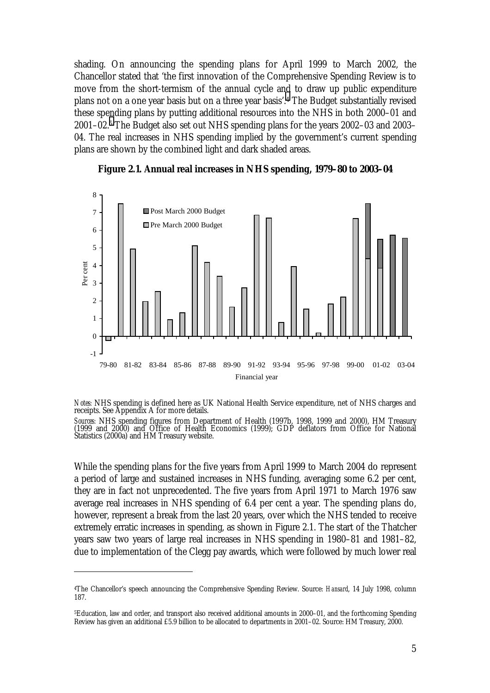shading. On announcing the spending plans for April 1999 to March 2002, the Chancellor stated that 'the first innovation of the Comprehensive Spending Review is to move from the short-termism of the annual cycle and to draw up public expenditure plans not on a one year basis but on a three year basis'.4 The Budget substantially revised these spending plans by putting additional resources into the NHS in both 2000–01 and 2001–02.5 The Budget also set out NHS spending plans for the years 2002–03 and 2003– 04. The real increases in NHS spending implied by the government's current spending plans are shown by the combined light and dark shaded areas.



**Figure 2.1. Annual real increases in NHS spending, 1979–80 to 2003–04**

*Notes:* NHS spending is defined here as UK National Health Service expenditure, net of NHS charges and receipts. See Appendix A for more details.

*Sources:* NHS spending figures from Department of Health (1997b, 1998, 1999 and 2000), HM Treasury (1999 and 2000) and Office of Health Economics (1999); GDP deflators from Office for National Statistics (2000a) and HM Treasury website.

While the spending plans for the five years from April 1999 to March 2004 do represent a period of large and sustained increases in NHS funding, averaging some 6.2 per cent, they are in fact not unprecedented. The five years from April 1971 to March 1976 saw average real increases in NHS spending of 6.4 per cent a year. The spending plans do, however, represent a break from the last 20 years, over which the NHS tended to receive extremely erratic increases in spending, as shown in Figure 2.1. The start of the Thatcher years saw two years of large real increases in NHS spending in 1980–81 and 1981–82, due to implementation of the Clegg pay awards, which were followed by much lower real

<sup>4</sup>The Chancellor's speech announcing the Comprehensive Spending Review. Source: *Hansard*, 14 July 1998, column 187.

<sup>5</sup>Education, law and order, and transport also received additional amounts in 2000–01, and the forthcoming Spending Review has given an additional £5.9 billion to be allocated to departments in 2001–02. Source: HM Treasury, 2000.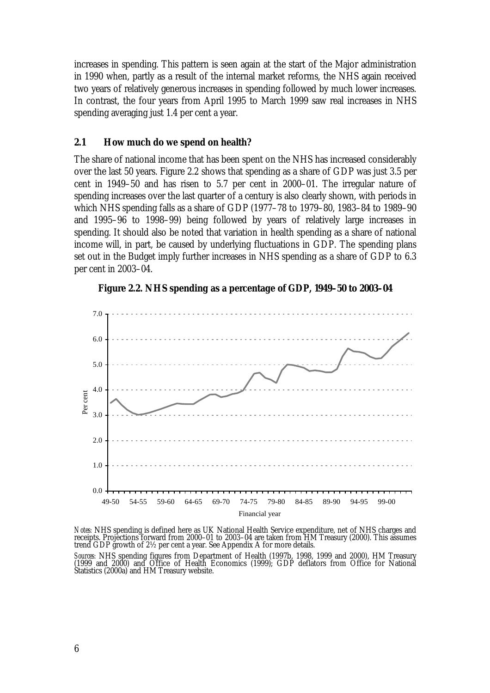increases in spending. This pattern is seen again at the start of the Major administration in 1990 when, partly as a result of the internal market reforms, the NHS again received two years of relatively generous increases in spending followed by much lower increases. In contrast, the four years from April 1995 to March 1999 saw real increases in NHS spending averaging just 1.4 per cent a year.

#### **2.1 How much do we spend on health?**

The share of national income that has been spent on the NHS has increased considerably over the last 50 years. Figure 2.2 shows that spending as a share of GDP was just 3.5 per cent in 1949–50 and has risen to 5.7 per cent in 2000–01. The irregular nature of spending increases over the last quarter of a century is also clearly shown, with periods in which NHS spending falls as a share of GDP (1977–78 to 1979–80, 1983–84 to 1989–90 and 1995–96 to 1998–99) being followed by years of relatively large increases in spending. It should also be noted that variation in health spending as a share of national income will, in part, be caused by underlying fluctuations in GDP. The spending plans set out in the Budget imply further increases in NHS spending as a share of GDP to 6.3 per cent in 2003–04.





*Notes:* NHS spending is defined here as UK National Health Service expenditure, net of NHS charges and<br>receipts. Projections forward from 2000–01 to 2003–04 are taken from HM Treasury (2000). This assumes trend GDP growth of 2½ per cent a year. See Appendix A for more details.

*Sources:* NHS spending figures from Department of Health (1997b, 1998, 1999 and 2000), HM Treasury (1999 and 2000) and Office of Health Economics (1999); GDP deflators from Office for National Statistics (2000a) and HM Treasury website.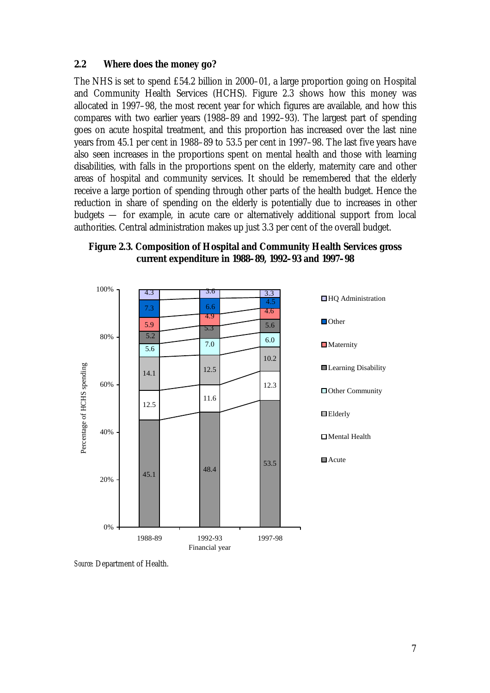#### **2.2 Where does the money go?**

The NHS is set to spend £54.2 billion in 2000–01, a large proportion going on Hospital and Community Health Services (HCHS). Figure 2.3 shows how this money was allocated in 1997–98, the most recent year for which figures are available, and how this compares with two earlier years (1988–89 and 1992–93). The largest part of spending goes on acute hospital treatment, and this proportion has increased over the last nine years from 45.1 per cent in 1988–89 to 53.5 per cent in 1997–98. The last five years have also seen increases in the proportions spent on mental health and those with learning disabilities, with falls in the proportions spent on the elderly, maternity care and other areas of hospital and community services. It should be remembered that the elderly receive a large portion of spending through other parts of the health budget. Hence the reduction in share of spending on the elderly is potentially due to increases in other budgets — for example, in acute care or alternatively additional support from local authorities. Central administration makes up just 3.3 per cent of the overall budget.





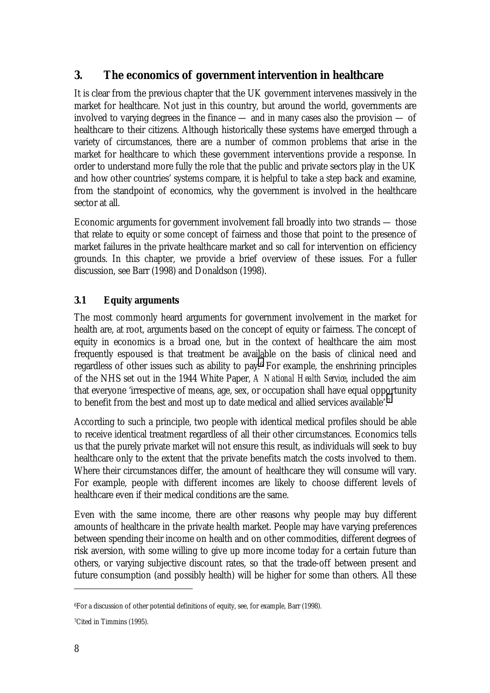# **3. The economics of government intervention in healthcare**

It is clear from the previous chapter that the UK government intervenes massively in the market for healthcare. Not just in this country, but around the world, governments are involved to varying degrees in the finance — and in many cases also the provision — of healthcare to their citizens. Although historically these systems have emerged through a variety of circumstances, there are a number of common problems that arise in the market for healthcare to which these government interventions provide a response. In order to understand more fully the role that the public and private sectors play in the UK and how other countries' systems compare, it is helpful to take a step back and examine, from the standpoint of economics, why the government is involved in the healthcare sector at all.

Economic arguments for government involvement fall broadly into two strands — those that relate to equity or some concept of fairness and those that point to the presence of market failures in the private healthcare market and so call for intervention on efficiency grounds. In this chapter, we provide a brief overview of these issues. For a fuller discussion, see Barr (1998) and Donaldson (1998).

## **3.1 Equity arguments**

The most commonly heard arguments for government involvement in the market for health are, at root, arguments based on the concept of equity or fairness. The concept of equity in economics is a broad one, but in the context of healthcare the aim most frequently espoused is that treatment be available on the basis of clinical need and regardless of other issues such as ability to pay.6 For example, the enshrining principles of the NHS set out in the 1944 White Paper, *A National Health Service*, included the aim that everyone 'irrespective of means, age, sex, or occupation shall have equal opportunity to benefit from the best and most up to date medical and allied services available'.7

According to such a principle, two people with identical medical profiles should be able to receive identical treatment regardless of all their other circumstances. Economics tells us that the purely private market will not ensure this result, as individuals will seek to buy healthcare only to the extent that the private benefits match the costs involved to them. Where their circumstances differ, the amount of healthcare they will consume will vary. For example, people with different incomes are likely to choose different levels of healthcare even if their medical conditions are the same.

Even with the same income, there are other reasons why people may buy different amounts of healthcare in the private health market. People may have varying preferences between spending their income on health and on other commodities, different degrees of risk aversion, with some willing to give up more income today for a certain future than others, or varying subjective discount rates, so that the trade-off between present and future consumption (and possibly health) will be higher for some than others. All these

<sup>6</sup>For a discussion of other potential definitions of equity, see, for example, Barr (1998).

<sup>7</sup>Cited in Timmins (1995).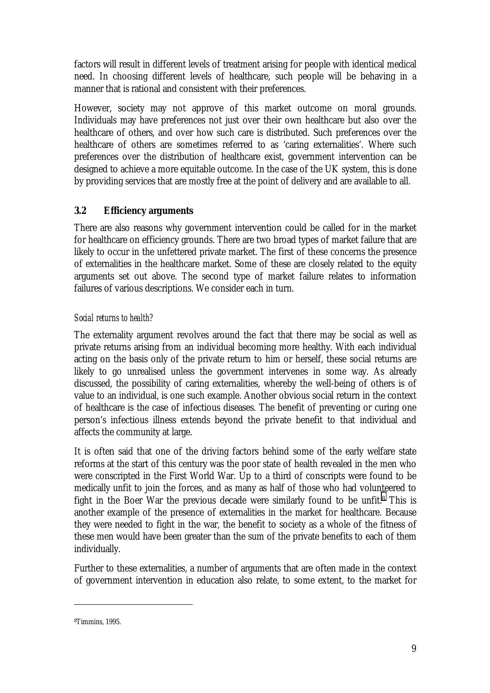factors will result in different levels of treatment arising for people with identical medical need. In choosing different levels of healthcare, such people will be behaving in a manner that is rational and consistent with their preferences.

However, society may not approve of this market outcome on moral grounds. Individuals may have preferences not just over their own healthcare but also over the healthcare of others, and over how such care is distributed. Such preferences over the healthcare of others are sometimes referred to as 'caring externalities'. Where such preferences over the distribution of healthcare exist, government intervention can be designed to achieve a more equitable outcome. In the case of the UK system, this is done by providing services that are mostly free at the point of delivery and are available to all.

## **3.2 Efficiency arguments**

There are also reasons why government intervention could be called for in the market for healthcare on efficiency grounds. There are two broad types of market failure that are likely to occur in the unfettered private market. The first of these concerns the presence of externalities in the healthcare market. Some of these are closely related to the equity arguments set out above. The second type of market failure relates to information failures of various descriptions. We consider each in turn.

# *Social returns to health?*

The externality argument revolves around the fact that there may be social as well as private returns arising from an individual becoming more healthy. With each individual acting on the basis only of the private return to him or herself, these social returns are likely to go unrealised unless the government intervenes in some way. As already discussed, the possibility of caring externalities, whereby the well-being of others is of value to an individual, is one such example. Another obvious social return in the context of healthcare is the case of infectious diseases. The benefit of preventing or curing one person's infectious illness extends beyond the private benefit to that individual and affects the community at large.

It is often said that one of the driving factors behind some of the early welfare state reforms at the start of this century was the poor state of health revealed in the men who were conscripted in the First World War. Up to a third of conscripts were found to be medically unfit to join the forces, and as many as half of those who had volunteered to fight in the Boer War the previous decade were similarly found to be unfit.8 This is another example of the presence of externalities in the market for healthcare. Because they were needed to fight in the war, the benefit to society as a whole of the fitness of these men would have been greater than the sum of the private benefits to each of them individually.

Further to these externalities, a number of arguments that are often made in the context of government intervention in education also relate, to some extent, to the market for

<sup>8</sup>Timmins, 1995.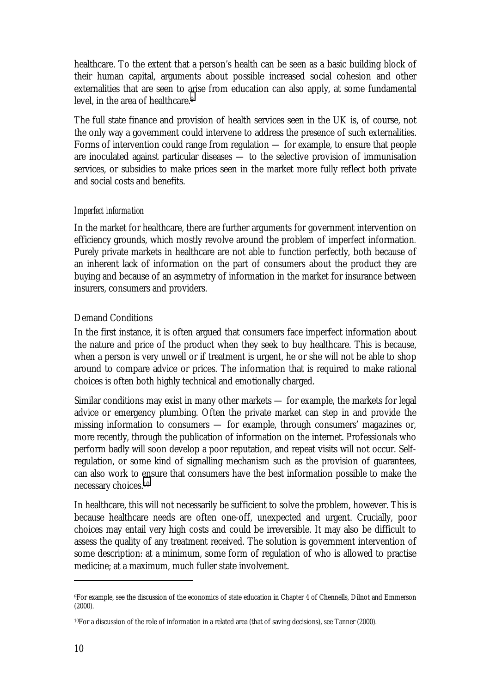healthcare. To the extent that a person's health can be seen as a basic building block of their human capital, arguments about possible increased social cohesion and other externalities that are seen to arise from education can also apply, at some fundamental level, in the area of healthcare.9

The full state finance and provision of health services seen in the UK is, of course, not the only way a government could intervene to address the presence of such externalities. Forms of intervention could range from regulation — for example, to ensure that people are inoculated against particular diseases — to the selective provision of immunisation services, or subsidies to make prices seen in the market more fully reflect both private and social costs and benefits.

## *Imperfect information*

In the market for healthcare, there are further arguments for government intervention on efficiency grounds, which mostly revolve around the problem of imperfect information*.* Purely private markets in healthcare are not able to function perfectly, both because of an inherent lack of information on the part of consumers about the product they are buying and because of an asymmetry of information in the market for insurance between insurers, consumers and providers.

## Demand Conditions

In the first instance, it is often argued that consumers face imperfect information about the nature and price of the product when they seek to buy healthcare. This is because, when a person is very unwell or if treatment is urgent, he or she will not be able to shop around to compare advice or prices. The information that is required to make rational choices is often both highly technical and emotionally charged.

Similar conditions may exist in many other markets — for example, the markets for legal advice or emergency plumbing. Often the private market can step in and provide the missing information to consumers — for example, through consumers' magazines or, more recently, through the publication of information on the internet. Professionals who perform badly will soon develop a poor reputation, and repeat visits will not occur. Selfregulation, or some kind of signalling mechanism such as the provision of guarantees, can also work to ensure that consumers have the best information possible to make the necessary choices.10

In healthcare, this will not necessarily be sufficient to solve the problem, however. This is because healthcare needs are often one-off, unexpected and urgent. Crucially, poor choices may entail very high costs and could be irreversible. It may also be difficult to assess the quality of any treatment received. The solution is government intervention of some description: at a minimum, some form of regulation of who is allowed to practise medicine; at a maximum, much fuller state involvement.

<sup>9</sup>For example, see the discussion of the economics of state education in Chapter 4 of Chennells, Dilnot and Emmerson (2000).

<sup>10</sup>For a discussion of the role of information in a related area (that of saving decisions), see Tanner (2000).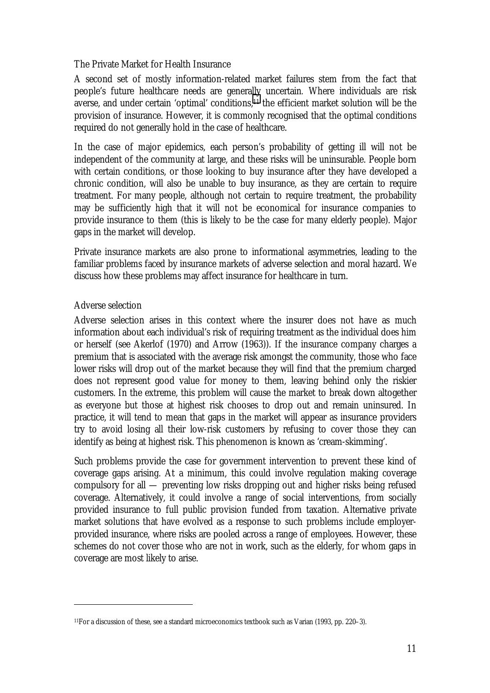#### The Private Market for Health Insurance

A second set of mostly information-related market failures stem from the fact that people's future healthcare needs are generally uncertain*.* Where individuals are risk averse, and under certain 'optimal' conditions,11 the efficient market solution will be the provision of insurance. However, it is commonly recognised that the optimal conditions required do not generally hold in the case of healthcare.

In the case of major epidemics, each person's probability of getting ill will not be independent of the community at large, and these risks will be uninsurable. People born with certain conditions, or those looking to buy insurance after they have developed a chronic condition, will also be unable to buy insurance, as they are certain to require treatment. For many people, although not certain to require treatment, the probability may be sufficiently high that it will not be economical for insurance companies to provide insurance to them (this is likely to be the case for many elderly people). Major gaps in the market will develop.

Private insurance markets are also prone to informational asymmetries, leading to the familiar problems faced by insurance markets of adverse selection and moral hazard. We discuss how these problems may affect insurance for healthcare in turn.

## Adverse selection

 $\overline{a}$ 

Adverse selection arises in this context where the insurer does not have as much information about each individual's risk of requiring treatment as the individual does him or herself (see Akerlof (1970) and Arrow (1963)). If the insurance company charges a premium that is associated with the average risk amongst the community, those who face lower risks will drop out of the market because they will find that the premium charged does not represent good value for money to them, leaving behind only the riskier customers. In the extreme, this problem will cause the market to break down altogether as everyone but those at highest risk chooses to drop out and remain uninsured. In practice, it will tend to mean that gaps in the market will appear as insurance providers try to avoid losing all their low-risk customers by refusing to cover those they can identify as being at highest risk. This phenomenon is known as 'cream-skimming'.

Such problems provide the case for government intervention to prevent these kind of coverage gaps arising. At a minimum, this could involve regulation making coverage compulsory for all — preventing low risks dropping out and higher risks being refused coverage. Alternatively, it could involve a range of social interventions, from socially provided insurance to full public provision funded from taxation. Alternative private market solutions that have evolved as a response to such problems include employerprovided insurance, where risks are pooled across a range of employees. However, these schemes do not cover those who are not in work, such as the elderly, for whom gaps in coverage are most likely to arise.

<sup>11</sup>For a discussion of these, see a standard microeconomics textbook such as Varian (1993, pp. 220–3).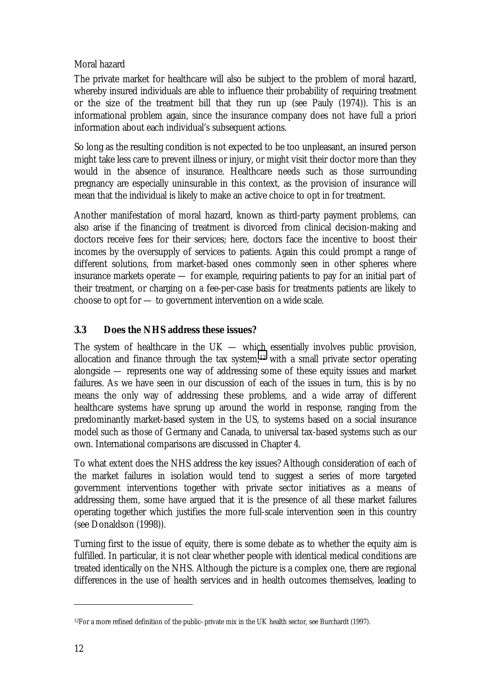## Moral hazard

The private market for healthcare will also be subject to the problem of moral hazard, whereby insured individuals are able to influence their probability of requiring treatment or the size of the treatment bill that they run up (see Pauly (1974)). This is an informational problem again, since the insurance company does not have full a priori information about each individual's subsequent actions.

So long as the resulting condition is not expected to be too unpleasant, an insured person might take less care to prevent illness or injury, or might visit their doctor more than they would in the absence of insurance. Healthcare needs such as those surrounding pregnancy are especially uninsurable in this context, as the provision of insurance will mean that the individual is likely to make an active choice to opt in for treatment.

Another manifestation of moral hazard, known as third-party payment problems, can also arise if the financing of treatment is divorced from clinical decision-making and doctors receive fees for their services; here, doctors face the incentive to boost their incomes by the oversupply of services to patients. Again this could prompt a range of different solutions, from market-based ones commonly seen in other spheres where insurance markets operate — for example, requiring patients to pay for an initial part of their treatment, or charging on a fee-per-case basis for treatments patients are likely to choose to opt for — to government intervention on a wide scale.

## **3.3 Does the NHS address these issues?**

The system of healthcare in the  $UK$  — which essentially involves public provision, allocation and finance through the tax system, $12$  with a small private sector operating alongside — represents one way of addressing some of these equity issues and market failures. As we have seen in our discussion of each of the issues in turn, this is by no means the only way of addressing these problems, and a wide array of different healthcare systems have sprung up around the world in response, ranging from the predominantly market-based system in the US, to systems based on a social insurance model such as those of Germany and Canada, to universal tax-based systems such as our own. International comparisons are discussed in Chapter 4.

To what extent does the NHS address the key issues? Although consideration of each of the market failures in isolation would tend to suggest a series of more targeted government interventions together with private sector initiatives as a means of addressing them, some have argued that it is the presence of all these market failures operating together which justifies the more full-scale intervention seen in this country (see Donaldson (1998)).

Turning first to the issue of equity, there is some debate as to whether the equity aim is fulfilled. In particular, it is not clear whether people with identical medical conditions are treated identically on the NHS. Although the picture is a complex one, there are regional differences in the use of health services and in health outcomes themselves, leading to

<sup>12</sup>For a more refined definition of the public–private mix in the UK health sector, see Burchardt (1997).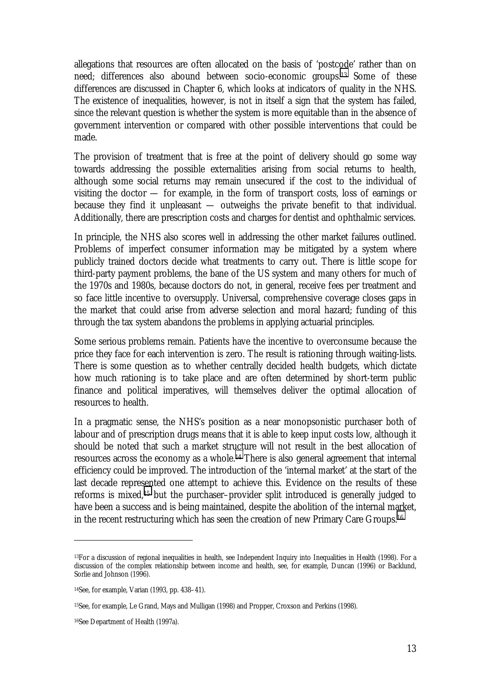allegations that resources are often allocated on the basis of 'postcode' rather than on need; differences also abound between socio-economic groups.13 Some of these differences are discussed in Chapter 6, which looks at indicators of quality in the NHS. The existence of inequalities, however, is not in itself a sign that the system has failed, since the relevant question is whether the system is more equitable than in the absence of government intervention or compared with other possible interventions that could be made.

The provision of treatment that is free at the point of delivery should go some way towards addressing the possible externalities arising from social returns to health, although some social returns may remain unsecured if the cost to the individual of visiting the doctor — for example, in the form of transport costs, loss of earnings or because they find it unpleasant — outweighs the private benefit to that individual. Additionally, there are prescription costs and charges for dentist and ophthalmic services.

In principle, the NHS also scores well in addressing the other market failures outlined. Problems of imperfect consumer information may be mitigated by a system where publicly trained doctors decide what treatments to carry out. There is little scope for third-party payment problems, the bane of the US system and many others for much of the 1970s and 1980s, because doctors do not, in general, receive fees per treatment and so face little incentive to oversupply. Universal, comprehensive coverage closes gaps in the market that could arise from adverse selection and moral hazard; funding of this through the tax system abandons the problems in applying actuarial principles.

Some serious problems remain. Patients have the incentive to overconsume because the price they face for each intervention is zero. The result is rationing through waiting-lists. There is some question as to whether centrally decided health budgets, which dictate how much rationing is to take place and are often determined by short-term public finance and political imperatives, will themselves deliver the optimal allocation of resources to health.

In a pragmatic sense, the NHS's position as a near monopsonistic purchaser both of labour and of prescription drugs means that it is able to keep input costs low, although it should be noted that such a market structure will not result in the best allocation of resources across the economy as a whole.14 There is also general agreement that internal efficiency could be improved. The introduction of the 'internal market' at the start of the last decade represented one attempt to achieve this. Evidence on the results of these reforms is mixed,15 but the purchaser–provider split introduced is generally judged to have been a success and is being maintained, despite the abolition of the internal market, in the recent restructuring which has seen the creation of new Primary Care Groups.16

<sup>13</sup>For a discussion of regional inequalities in health, see Independent Inquiry into Inequalities in Health (1998). For a discussion of the complex relationship between income and health, see, for example, Duncan (1996) or Backlund, Sorlie and Johnson (1996).

<sup>14</sup>See, for example, Varian (1993, pp. 438–41).

<sup>15</sup>See, for example, Le Grand, Mays and Mulligan (1998) and Propper, Croxson and Perkins (1998).

<sup>16</sup>See Department of Health (1997a).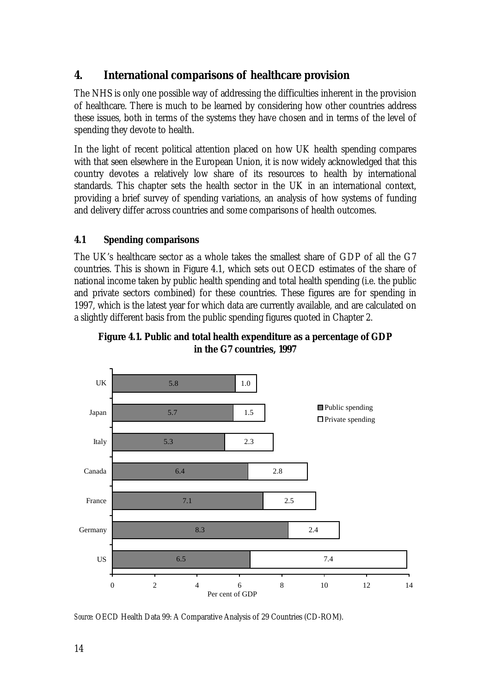# **4. International comparisons of healthcare provision**

The NHS is only one possible way of addressing the difficulties inherent in the provision of healthcare. There is much to be learned by considering how other countries address these issues, both in terms of the systems they have chosen and in terms of the level of spending they devote to health.

In the light of recent political attention placed on how UK health spending compares with that seen elsewhere in the European Union, it is now widely acknowledged that this country devotes a relatively low share of its resources to health by international standards. This chapter sets the health sector in the UK in an international context, providing a brief survey of spending variations, an analysis of how systems of funding and delivery differ across countries and some comparisons of health outcomes.

## **4.1 Spending comparisons**

The UK's healthcare sector as a whole takes the smallest share of GDP of all the G7 countries. This is shown in Figure 4.1, which sets out OECD estimates of the share of national income taken by public health spending and total health spending (i.e. the public and private sectors combined) for these countries. These figures are for spending in 1997, which is the latest year for which data are currently available, and are calculated on a slightly different basis from the public spending figures quoted in Chapter 2.





*Source:* OECD Health Data 99: A Comparative Analysis of 29 Countries (CD-ROM).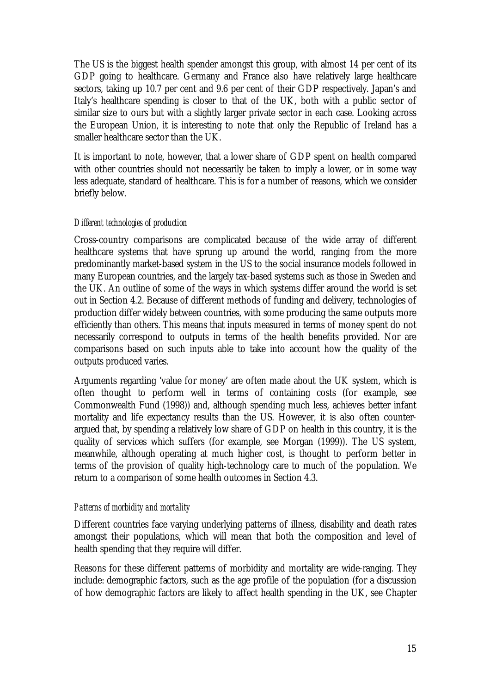The US is the biggest health spender amongst this group, with almost 14 per cent of its GDP going to healthcare. Germany and France also have relatively large healthcare sectors, taking up 10.7 per cent and 9.6 per cent of their GDP respectively. Japan's and Italy's healthcare spending is closer to that of the UK, both with a public sector of similar size to ours but with a slightly larger private sector in each case. Looking across the European Union, it is interesting to note that only the Republic of Ireland has a smaller healthcare sector than the UK.

It is important to note, however, that a lower share of GDP spent on health compared with other countries should not necessarily be taken to imply a lower, or in some way less adequate, standard of healthcare. This is for a number of reasons, which we consider briefly below.

## *Different technologies of production*

Cross-country comparisons are complicated because of the wide array of different healthcare systems that have sprung up around the world, ranging from the more predominantly market-based system in the US to the social insurance models followed in many European countries, and the largely tax-based systems such as those in Sweden and the UK. An outline of some of the ways in which systems differ around the world is set out in Section 4.2. Because of different methods of funding and delivery, technologies of production differ widely between countries, with some producing the same outputs more efficiently than others. This means that inputs measured in terms of money spent do not necessarily correspond to outputs in terms of the health benefits provided. Nor are comparisons based on such inputs able to take into account how the quality of the outputs produced varies.

Arguments regarding 'value for money' are often made about the UK system, which is often thought to perform well in terms of containing costs (for example, see Commonwealth Fund (1998)) and, although spending much less, achieves better infant mortality and life expectancy results than the US. However, it is also often counterargued that, by spending a relatively low share of GDP on health in this country, it is the quality of services which suffers (for example, see Morgan (1999)). The US system, meanwhile, although operating at much higher cost, is thought to perform better in terms of the provision of quality high-technology care to much of the population. We return to a comparison of some health outcomes in Section 4.3.

## *Patterns of morbidity and mortality*

Different countries face varying underlying patterns of illness, disability and death rates amongst their populations, which will mean that both the composition and level of health spending that they require will differ.

Reasons for these different patterns of morbidity and mortality are wide-ranging. They include: demographic factors, such as the age profile of the population (for a discussion of how demographic factors are likely to affect health spending in the UK, see Chapter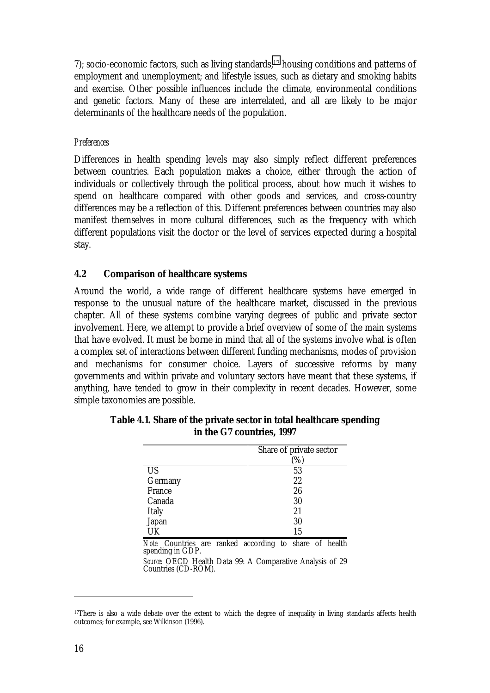7); socio-economic factors, such as living standards,<sup>17</sup> housing conditions and patterns of employment and unemployment; and lifestyle issues, such as dietary and smoking habits and exercise. Other possible influences include the climate, environmental conditions and genetic factors. Many of these are interrelated, and all are likely to be major determinants of the healthcare needs of the population.

#### *Preferences*

Differences in health spending levels may also simply reflect different preferences between countries. Each population makes a choice, either through the action of individuals or collectively through the political process, about how much it wishes to spend on healthcare compared with other goods and services, and cross-country differences may be a reflection of this. Different preferences between countries may also manifest themselves in more cultural differences, such as the frequency with which different populations visit the doctor or the level of services expected during a hospital stay.

#### **4.2 Comparison of healthcare systems**

Around the world, a wide range of different healthcare systems have emerged in response to the unusual nature of the healthcare market, discussed in the previous chapter. All of these systems combine varying degrees of public and private sector involvement. Here, we attempt to provide a brief overview of some of the main systems that have evolved. It must be borne in mind that all of the systems involve what is often a complex set of interactions between different funding mechanisms, modes of provision and mechanisms for consumer choice. Layers of successive reforms by many governments and within private and voluntary sectors have meant that these systems, if anything, have tended to grow in their complexity in recent decades. However, some simple taxonomies are possible.

|              | Share of private sector |
|--------------|-------------------------|
|              | $\%$                    |
| <b>US</b>    | 53                      |
| Germany      | 22                      |
| France       | 26                      |
| Canada       | 30                      |
| <b>Italy</b> | 21                      |
| Japan        | 30                      |
|              | 15                      |

**Table 4.1. Share of the private sector in total healthcare spending in the G7 countries, 1997**

*Note:* Countries are ranked according to share of health spending in GDP.

*Source:* OECD Health Data 99: A Comparative Analysis of 29 Countries (CD-ROM).

<sup>&</sup>lt;sup>17</sup>There is also a wide debate over the extent to which the degree of inequality in living standards affects health outcomes; for example, see Wilkinson (1996).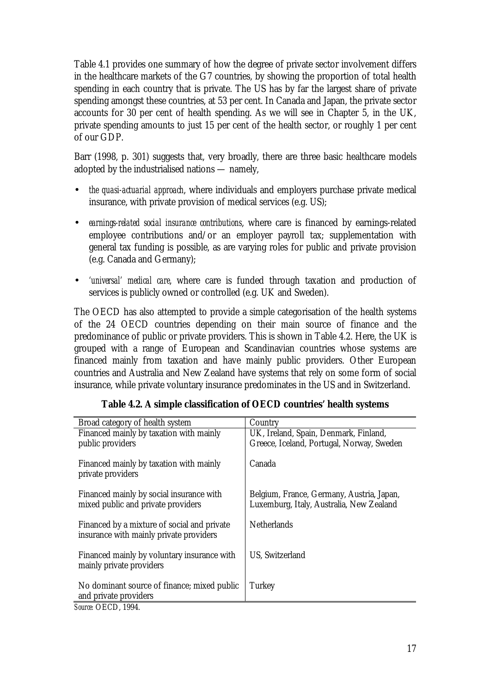Table 4.1 provides one summary of how the degree of private sector involvement differs in the healthcare markets of the G7 countries, by showing the proportion of total health spending in each country that is private. The US has by far the largest share of private spending amongst these countries, at 53 per cent. In Canada and Japan, the private sector accounts for 30 per cent of health spending. As we will see in Chapter 5, in the UK, private spending amounts to just 15 per cent of the health sector, or roughly 1 per cent of our GDP.

Barr (1998, p. 301) suggests that, very broadly, there are three basic healthcare models adopted by the industrialised nations — namely,

- *the quasi-actuarial approach*, where individuals and employers purchase private medical insurance, with private provision of medical services (e.g. US);
- *earnings-related social insurance contributions*, where care is financed by earnings-related employee contributions and/or an employer payroll tax; supplementation with general tax funding is possible, as are varying roles for public and private provision (e.g. Canada and Germany);
- *'universal' medical care*, where care is funded through taxation and production of services is publicly owned or controlled (e.g. UK and Sweden).

The OECD has also attempted to provide a simple categorisation of the health systems of the 24 OECD countries depending on their main source of finance and the predominance of public or private providers. This is shown in Table 4.2. Here, the UK is grouped with a range of European and Scandinavian countries whose systems are financed mainly from taxation and have mainly public providers. Other European countries and Australia and New Zealand have systems that rely on some form of social insurance, while private voluntary insurance predominates in the US and in Switzerland.

| Broad category of health system                                                        | Country                                                                               |
|----------------------------------------------------------------------------------------|---------------------------------------------------------------------------------------|
| Financed mainly by taxation with mainly                                                | UK, Ireland, Spain, Denmark, Finland,                                                 |
| public providers                                                                       | Greece, Iceland, Portugal, Norway, Sweden                                             |
| Financed mainly by taxation with mainly<br>private providers                           | Canada                                                                                |
| Financed mainly by social insurance with<br>mixed public and private providers         | Belgium, France, Germany, Austria, Japan,<br>Luxemburg, Italy, Australia, New Zealand |
| Financed by a mixture of social and private<br>insurance with mainly private providers | <b>Netherlands</b>                                                                    |
| Financed mainly by voluntary insurance with<br>mainly private providers                | <b>US, Switzerland</b>                                                                |
| No dominant source of finance; mixed public<br>and private providers                   | Turkey                                                                                |
| <i>Source: OECD. 1994.</i>                                                             |                                                                                       |

**Table 4.2. A simple classification of OECD countries' health systems**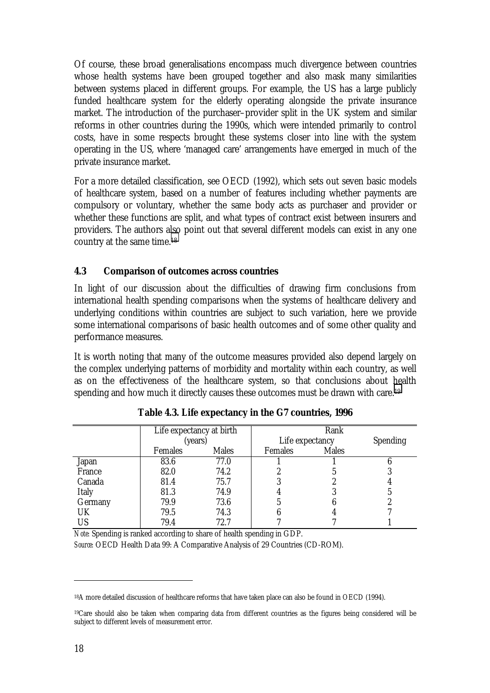Of course, these broad generalisations encompass much divergence between countries whose health systems have been grouped together and also mask many similarities between systems placed in different groups. For example, the US has a large publicly funded healthcare system for the elderly operating alongside the private insurance market. The introduction of the purchaser–provider split in the UK system and similar reforms in other countries during the 1990s, which were intended primarily to control costs, have in some respects brought these systems closer into line with the system operating in the US, where 'managed care' arrangements have emerged in much of the private insurance market.

For a more detailed classification, see OECD (1992), which sets out seven basic models of healthcare system, based on a number of features including whether payments are compulsory or voluntary, whether the same body acts as purchaser and provider or whether these functions are split, and what types of contract exist between insurers and providers. The authors also point out that several different models can exist in any one country at the same time.18

## **4.3 Comparison of outcomes across countries**

In light of our discussion about the difficulties of drawing firm conclusions from international health spending comparisons when the systems of healthcare delivery and underlying conditions within countries are subject to such variation, here we provide some international comparisons of basic health outcomes and of some other quality and performance measures.

It is worth noting that many of the outcome measures provided also depend largely on the complex underlying patterns of morbidity and mortality within each country, as well as on the effectiveness of the healthcare system, so that conclusions about health spending and how much it directly causes these outcomes must be drawn with care.<sup>19</sup>

|              | Life expectancy at birth |              | Rank            |              |                 |
|--------------|--------------------------|--------------|-----------------|--------------|-----------------|
|              | (years)                  |              | Life expectancy |              | <b>Spending</b> |
|              | <b>Females</b>           | <b>Males</b> | <b>Females</b>  | <b>Males</b> |                 |
| <b>Japan</b> | 83.6                     | 77.0         |                 |              |                 |
| France       | 82.0                     | 74.2         |                 |              |                 |
| Canada       | 81.4                     | 75.7         |                 |              |                 |
| <b>Italy</b> | 81.3                     | 74.9         |                 |              |                 |
| Germany      | 79.9                     | 73.6         |                 |              |                 |
| UK           | 79.5                     | 74.3         |                 |              |                 |
| US           | 79.4                     | 72.7         |                 |              |                 |

**Table 4.3. Life expectancy in the G7 countries, 1996**

*Note:* Spending is ranked according to share of health spending in GDP.

*Source:* OECD Health Data 99: A Comparative Analysis of 29 Countries (CD-ROM).

<sup>18</sup>A more detailed discussion of healthcare reforms that have taken place can also be found in OECD (1994).

<sup>19</sup>Care should also be taken when comparing data from different countries as the figures being considered will be subject to different levels of measurement error.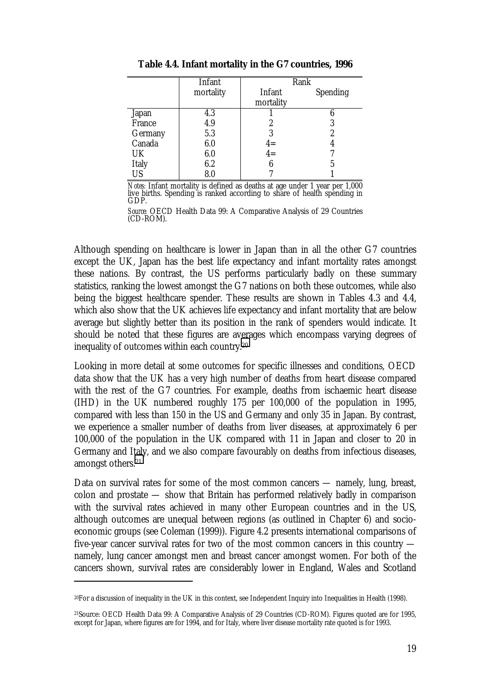|              | Infant    | Rank           |                 |
|--------------|-----------|----------------|-----------------|
|              | mortality | Infant         | <b>Spending</b> |
|              |           | mortality      |                 |
| Japan        | 4.3       |                |                 |
| France       | 4.9       | 2              | 3               |
| Germany      | 5.3       | 3              | 2               |
| Canada       | 6.0       | $4 =$<br>$4 =$ | 4               |
| UK           | 6.0       |                |                 |
| <b>Italy</b> | 6.2       | 6              | 5               |
| <b>US</b>    | 8.0       |                |                 |

**Table 4.4. Infant mortality in the G7 countries, 1996**

*Notes:* Infant mortality is defined as deaths at age under 1 year per 1,000 live births. Spending is ranked according to share of health spending in GDP.

*Source:* OECD Health Data 99: A Comparative Analysis of 29 Countries (CD-ROM).

Although spending on healthcare is lower in Japan than in all the other G7 countries except the UK, Japan has the best life expectancy and infant mortality rates amongst these nations. By contrast, the US performs particularly badly on these summary statistics, ranking the lowest amongst the G7 nations on both these outcomes, while also being the biggest healthcare spender. These results are shown in Tables 4.3 and 4.4, which also show that the UK achieves life expectancy and infant mortality that are below average but slightly better than its position in the rank of spenders would indicate. It should be noted that these figures are averages which encompass varying degrees of inequality of outcomes within each country.20

Looking in more detail at some outcomes for specific illnesses and conditions, OECD data show that the UK has a very high number of deaths from heart disease compared with the rest of the G7 countries. For example, deaths from ischaemic heart disease (IHD) in the UK numbered roughly 175 per 100,000 of the population in 1995, compared with less than 150 in the US and Germany and only 35 in Japan. By contrast, we experience a smaller number of deaths from liver diseases, at approximately 6 per 100,000 of the population in the UK compared with 11 in Japan and closer to 20 in Germany and Italy, and we also compare favourably on deaths from infectious diseases, amongst others.21

Data on survival rates for some of the most common cancers — namely, lung, breast, colon and prostate — show that Britain has performed relatively badly in comparison with the survival rates achieved in many other European countries and in the US, although outcomes are unequal between regions (as outlined in Chapter 6) and socioeconomic groups (see Coleman (1999)). Figure 4.2 presents international comparisons of five-year cancer survival rates for two of the most common cancers in this country namely, lung cancer amongst men and breast cancer amongst women. For both of the cancers shown, survival rates are considerably lower in England, Wales and Scotland

<sup>20</sup>For a discussion of inequality in the UK in this context, see Independent Inquiry into Inequalities in Health (1998).

<sup>21</sup>Source: OECD Health Data 99: A Comparative Analysis of 29 Countries (CD-ROM). Figures quoted are for 1995, except for Japan, where figures are for 1994, and for Italy, where liver disease mortality rate quoted is for 1993.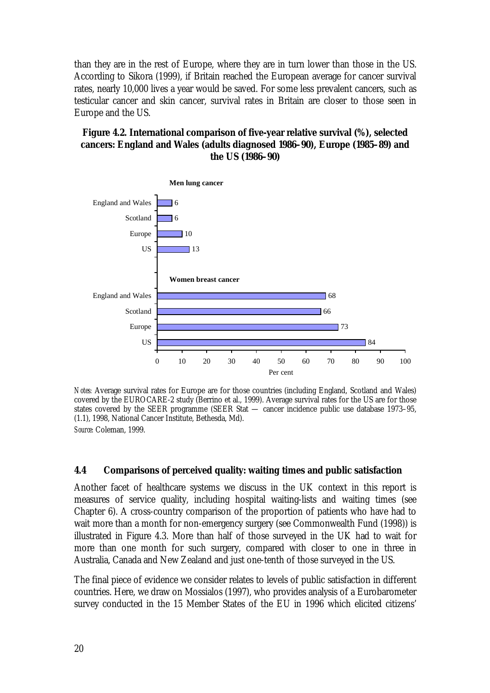than they are in the rest of Europe, where they are in turn lower than those in the US. According to Sikora (1999), if Britain reached the European average for cancer survival rates, nearly 10,000 lives a year would be saved. For some less prevalent cancers, such as testicular cancer and skin cancer, survival rates in Britain are closer to those seen in Europe and the US.

## **Figure 4.2. International comparison of five-year relative survival (%), selected cancers: England and Wales (adults diagnosed 1986–90), Europe (1985–89) and the US (1986–90)**



*Notes:* Average survival rates for Europe are for those countries (including England, Scotland and Wales) covered by the EUROCARE-2 study (Berrino et al., 1999). Average survival rates for the US are for those states covered by the SEER programme (SEER Stat — cancer incidence public use database 1973–95, (1.1), 1998, National Cancer Institute, Bethesda, Md).

*Source:* Coleman, 1999.

## **4.4 Comparisons of perceived quality: waiting times and public satisfaction**

Another facet of healthcare systems we discuss in the UK context in this report is measures of service quality, including hospital waiting-lists and waiting times (see Chapter 6). A cross-country comparison of the proportion of patients who have had to wait more than a month for non-emergency surgery (see Commonwealth Fund (1998)) is illustrated in Figure 4.3. More than half of those surveyed in the UK had to wait for more than one month for such surgery, compared with closer to one in three in Australia, Canada and New Zealand and just one-tenth of those surveyed in the US.

The final piece of evidence we consider relates to levels of public satisfaction in different countries. Here, we draw on Mossialos (1997), who provides analysis of a Eurobarometer survey conducted in the 15 Member States of the EU in 1996 which elicited citizens'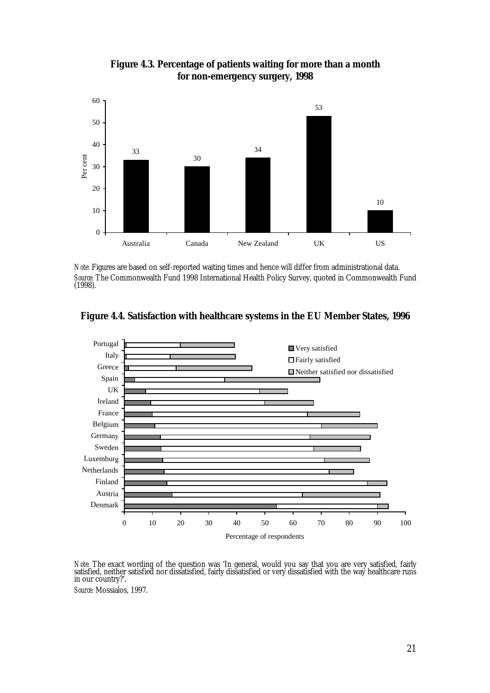

**Figure 4.3. Percentage of patients waiting for more than a month for non-emergency surgery, 1998**

*Note:* Figures are based on self-reported waiting times and hence will differ from administrational data. *Source:* The Commonwealth Fund 1998 International Health Policy Survey, quoted in Commonwealth Fund (1998).





Note: The exact wording of the question was 'In general, would you say that you are very satisfied, fairly satisfied, neither satisfied nor dissatisfied, fairly dissatisfied or very dissatisfied with the way healthcare run in our country?'.

*Source:* Mossialos, 1997.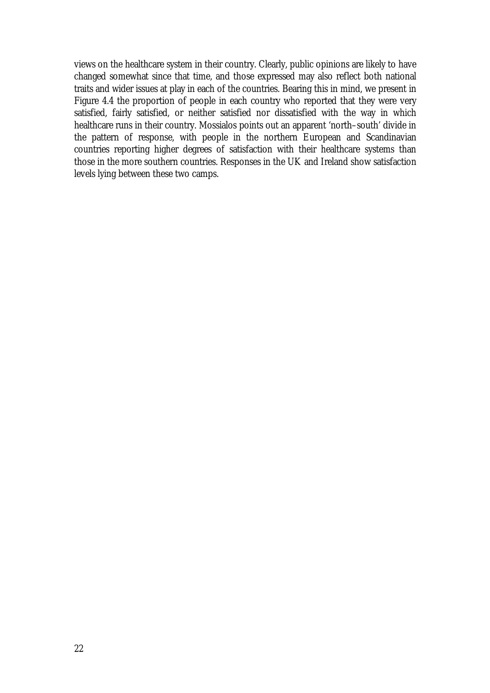views on the healthcare system in their country. Clearly, public opinions are likely to have changed somewhat since that time, and those expressed may also reflect both national traits and wider issues at play in each of the countries. Bearing this in mind, we present in Figure 4.4 the proportion of people in each country who reported that they were very satisfied, fairly satisfied, or neither satisfied nor dissatisfied with the way in which healthcare runs in their country. Mossialos points out an apparent 'north–south' divide in the pattern of response, with people in the northern European and Scandinavian countries reporting higher degrees of satisfaction with their healthcare systems than those in the more southern countries. Responses in the UK and Ireland show satisfaction levels lying between these two camps.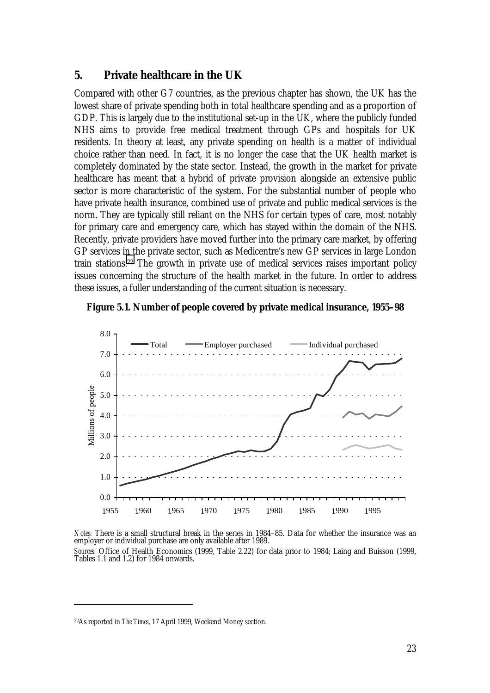## **5. Private healthcare in the UK**

Compared with other G7 countries, as the previous chapter has shown, the UK has the lowest share of private spending both in total healthcare spending and as a proportion of GDP. This is largely due to the institutional set-up in the UK, where the publicly funded NHS aims to provide free medical treatment through GPs and hospitals for UK residents. In theory at least, any private spending on health is a matter of individual choice rather than need. In fact, it is no longer the case that the UK health market is completely dominated by the state sector. Instead, the growth in the market for private healthcare has meant that a hybrid of private provision alongside an extensive public sector is more characteristic of the system. For the substantial number of people who have private health insurance, combined use of private and public medical services is the norm. They are typically still reliant on the NHS for certain types of care, most notably for primary care and emergency care, which has stayed within the domain of the NHS. Recently, private providers have moved further into the primary care market, by offering GP services in the private sector, such as Medicentre's new GP services in large London train stations.22 The growth in private use of medical services raises important policy issues concerning the structure of the health market in the future. In order to address these issues, a fuller understanding of the current situation is necessary.

#### **Figure 5.1. Number of people covered by private medical insurance, 1955–98**





<sup>22</sup>As reported in *The Times*, 17 April 1999, Weekend Money section.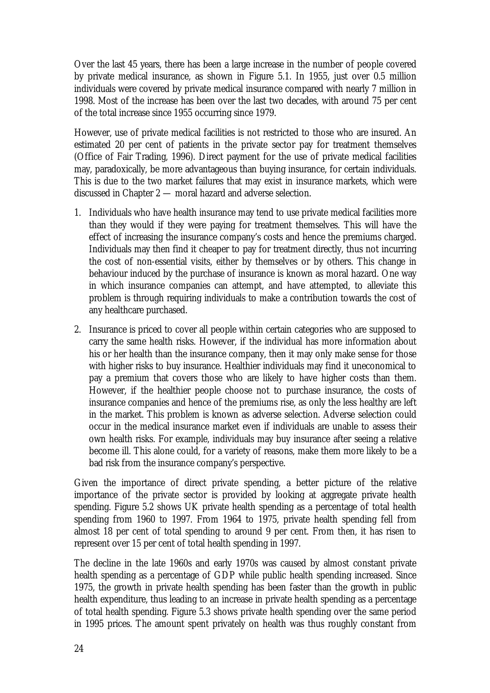Over the last 45 years, there has been a large increase in the number of people covered by private medical insurance, as shown in Figure 5.1. In 1955, just over 0.5 million individuals were covered by private medical insurance compared with nearly 7 million in 1998. Most of the increase has been over the last two decades, with around 75 per cent of the total increase since 1955 occurring since 1979.

However, use of private medical facilities is not restricted to those who are insured. An estimated 20 per cent of patients in the private sector pay for treatment themselves (Office of Fair Trading, 1996). Direct payment for the use of private medical facilities may, paradoxically, be more advantageous than buying insurance, for certain individuals. This is due to the two market failures that may exist in insurance markets, which were discussed in Chapter 2 — moral hazard and adverse selection.

- 1. Individuals who have health insurance may tend to use private medical facilities more than they would if they were paying for treatment themselves. This will have the effect of increasing the insurance company's costs and hence the premiums charged. Individuals may then find it cheaper to pay for treatment directly, thus not incurring the cost of non-essential visits, either by themselves or by others. This change in behaviour induced by the purchase of insurance is known as moral hazard. One way in which insurance companies can attempt, and have attempted, to alleviate this problem is through requiring individuals to make a contribution towards the cost of any healthcare purchased.
- 2. Insurance is priced to cover all people within certain categories who are supposed to carry the same health risks. However, if the individual has more information about his or her health than the insurance company, then it may only make sense for those with higher risks to buy insurance. Healthier individuals may find it uneconomical to pay a premium that covers those who are likely to have higher costs than them. However, if the healthier people choose not to purchase insurance, the costs of insurance companies and hence of the premiums rise, as only the less healthy are left in the market. This problem is known as adverse selection. Adverse selection could occur in the medical insurance market even if individuals are unable to assess their own health risks. For example, individuals may buy insurance after seeing a relative become ill. This alone could, for a variety of reasons, make them more likely to be a bad risk from the insurance company's perspective.

Given the importance of direct private spending, a better picture of the relative importance of the private sector is provided by looking at aggregate private health spending. Figure 5.2 shows UK private health spending as a percentage of total health spending from 1960 to 1997. From 1964 to 1975, private health spending fell from almost 18 per cent of total spending to around 9 per cent. From then, it has risen to represent over 15 per cent of total health spending in 1997.

The decline in the late 1960s and early 1970s was caused by almost constant private health spending as a percentage of GDP while public health spending increased. Since 1975, the growth in private health spending has been faster than the growth in public health expenditure, thus leading to an increase in private health spending as a percentage of total health spending. Figure 5.3 shows private health spending over the same period in 1995 prices. The amount spent privately on health was thus roughly constant from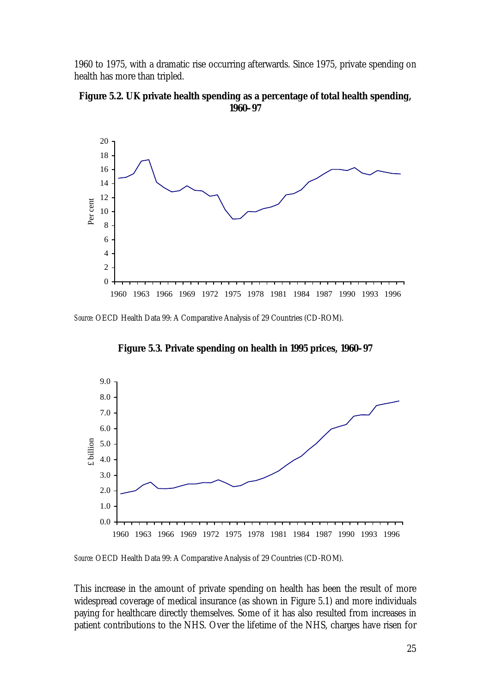1960 to 1975, with a dramatic rise occurring afterwards. Since 1975, private spending on health has more than tripled.





*Source:* OECD Health Data 99: A Comparative Analysis of 29 Countries (CD-ROM).



**Figure 5.3. Private spending on health in 1995 prices, 1960–97**

*Source:* OECD Health Data 99: A Comparative Analysis of 29 Countries (CD-ROM).

This increase in the amount of private spending on health has been the result of more widespread coverage of medical insurance (as shown in Figure 5.1) and more individuals paying for healthcare directly themselves. Some of it has also resulted from increases in patient contributions to the NHS. Over the lifetime of the NHS, charges have risen for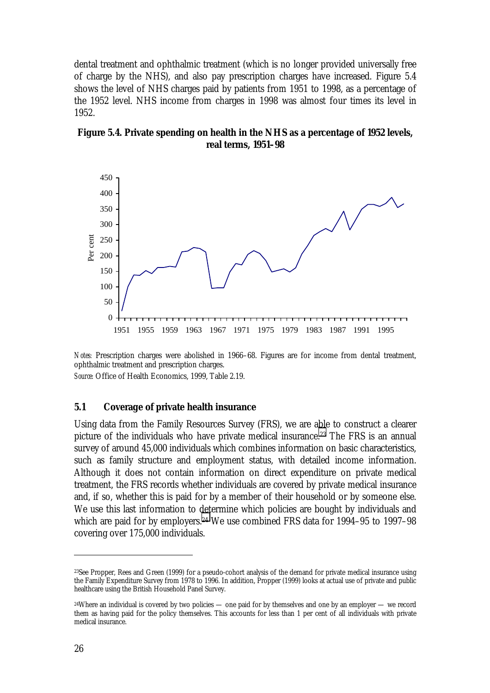dental treatment and ophthalmic treatment (which is no longer provided universally free of charge by the NHS), and also pay prescription charges have increased. Figure 5.4 shows the level of NHS charges paid by patients from 1951 to 1998, as a percentage of the 1952 level. NHS income from charges in 1998 was almost four times its level in 1952.





*Notes:* Prescription charges were abolished in 1966–68. Figures are for income from dental treatment, ophthalmic treatment and prescription charges.

*Source:* Office of Health Economics, 1999, Table 2.19.

#### **5.1 Coverage of private health insurance**

Using data from the Family Resources Survey (FRS), we are able to construct a clearer picture of the individuals who have private medical insurance.23 The FRS is an annual survey of around 45,000 individuals which combines information on basic characteristics, such as family structure and employment status, with detailed income information. Although it does not contain information on direct expenditure on private medical treatment, the FRS records whether individuals are covered by private medical insurance and, if so, whether this is paid for by a member of their household or by someone else. We use this last information to determine which policies are bought by individuals and which are paid for by employers.<sup>24</sup> We use combined FRS data for 1994–95 to 1997–98 covering over 175,000 individuals.

<sup>23</sup>See Propper, Rees and Green (1999) for a pseudo-cohort analysis of the demand for private medical insurance using the Family Expenditure Survey from 1978 to 1996. In addition, Propper (1999) looks at actual use of private and public healthcare using the British Household Panel Survey.

<sup>&</sup>lt;sup>24</sup>Where an individual is covered by two policies — one paid for by themselves and one by an employer — we record them as having paid for the policy themselves. This accounts for less than 1 per cent of all individuals with private medical insurance.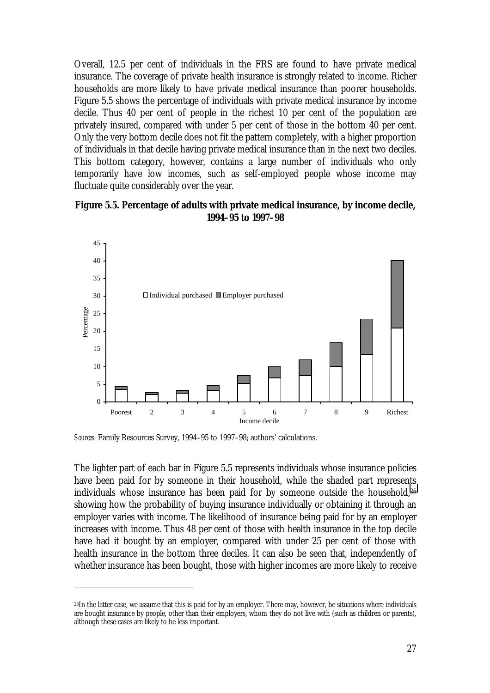Overall, 12.5 per cent of individuals in the FRS are found to have private medical insurance. The coverage of private health insurance is strongly related to income. Richer households are more likely to have private medical insurance than poorer households. Figure 5.5 shows the percentage of individuals with private medical insurance by income decile. Thus 40 per cent of people in the richest 10 per cent of the population are privately insured, compared with under 5 per cent of those in the bottom 40 per cent. Only the very bottom decile does not fit the pattern completely, with a higher proportion of individuals in that decile having private medical insurance than in the next two deciles. This bottom category, however, contains a large number of individuals who only temporarily have low incomes, such as self-employed people whose income may fluctuate quite considerably over the year.





*Sources:* Family Resources Survey, 1994–95 to 1997–98; authors' calculations.

 $\overline{a}$ 

The lighter part of each bar in Figure 5.5 represents individuals whose insurance policies have been paid for by someone in their household, while the shaded part represents individuals whose insurance has been paid for by someone outside the household,25 showing how the probability of buying insurance individually or obtaining it through an employer varies with income. The likelihood of insurance being paid for by an employer increases with income. Thus 48 per cent of those with health insurance in the top decile have had it bought by an employer, compared with under 25 per cent of those with health insurance in the bottom three deciles. It can also be seen that, independently of whether insurance has been bought, those with higher incomes are more likely to receive

 $25$ In the latter case, we assume that this is paid for by an employer. There may, however, be situations where individuals are bought insurance by people, other than their employers, whom they do not live with (such as children or parents), although these cases are likely to be less important.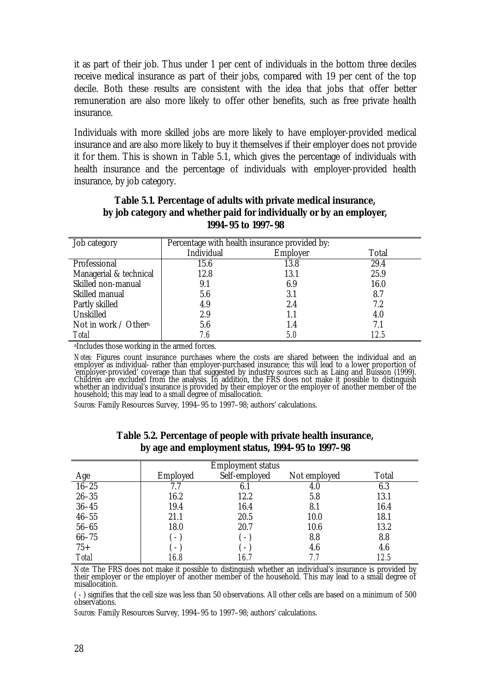it as part of their job. Thus under 1 per cent of individuals in the bottom three deciles receive medical insurance as part of their jobs, compared with 19 per cent of the top decile. Both these results are consistent with the idea that jobs that offer better remuneration are also more likely to offer other benefits, such as free private health insurance.

Individuals with more skilled jobs are more likely to have employer-provided medical insurance and are also more likely to buy it themselves if their employer does not provide it for them. This is shown in Table 5.1, which gives the percentage of individuals with health insurance and the percentage of individuals with employer-provided health insurance, by job category.

| Job category           | Percentage with health insurance provided by: |                 |       |  |
|------------------------|-----------------------------------------------|-----------------|-------|--|
|                        | Individual                                    | <b>Employer</b> | Total |  |
| Professional           | 15.6                                          | 13.8            | 29.4  |  |
| Managerial & technical | 12.8                                          | 13.1            | 25.9  |  |
| Skilled non-manual     | 9.1                                           | 6.9             | 16.0  |  |
| Skilled manual         | 5.6                                           | 3.1             | 8.7   |  |
| Partly skilled         | 4.9                                           | 2.4             | 7.2   |  |
| Unskilled              | 2.9                                           |                 | 4.0   |  |
| Not in work / Othera   | 5.6                                           | 1.4             | 7.1   |  |
| <b>Total</b>           | 7.6                                           | <i>5.0</i>      | 12.5  |  |

## **Table 5.1. Percentage of adults with private medical insurance, by job category and whether paid for individually or by an employer, 1994–95 to 1997–98**

aIncludes those working in the armed forces.

*Notes: Figures count insurance purchases where the costs are shared between the individual and an employer as individual- rather than employer-purchased insurance; this will lead to a lower proportion of* 'employer-provided' coverage than that suggested by industry sources such as Laing and Buisson (1999). Children are excluded from the analysis. In addition, the FRS does not make it possible to distinguish whether an individual's insurance is provided by their employer or the employer of another member of the household; this may lead to a small degree of misallocation.

*Sources:* Family Resources Survey, 1994–95 to 1997–98; authors' calculations.

|              |                             | <b>Employment status</b> |              |              |
|--------------|-----------------------------|--------------------------|--------------|--------------|
| Age          | Employed                    | Self-employed            | Not employed | <b>Total</b> |
| $16 - 25$    | 7.7                         |                          | 4.0          | 6.3          |
| $26 - 35$    | 16.2                        | 12.2                     | 5.8          | 13.1         |
| $36 - 45$    | 19.4                        | 16.4                     | 8.1          | 16.4         |
| $46 - 55$    | 21.1                        | 20.5                     | 10.0         | 18.1         |
| $56 - 65$    | 18.0                        | 20.7                     | 10.6         | 13.2         |
| $66 - 75$    | $\mathcal{F} = \mathcal{F}$ |                          | 8.8          | 8.8          |
| $75+$        | $\mathcal{F} = \mathcal{F}$ |                          | 4.6          | 4.6          |
| <b>Total</b> | 16.8                        | 16.7                     | 7.7          | 12.5         |

#### **Table 5.2. Percentage of people with private health insurance, by age and employment status, 1994–95 to 1997–98**

*Note:* The FRS does not make it possible to distinguish whether an individual's insurance is provided by their employer or the employer of another member of the household. This may lead to a small degree of misallocation.

( - ) signifies that the cell size was less than 50 observations. All other cells are based on a minimum of 500 observations.

*Sources:* Family Resources Survey, 1994–95 to 1997–98; authors' calculations.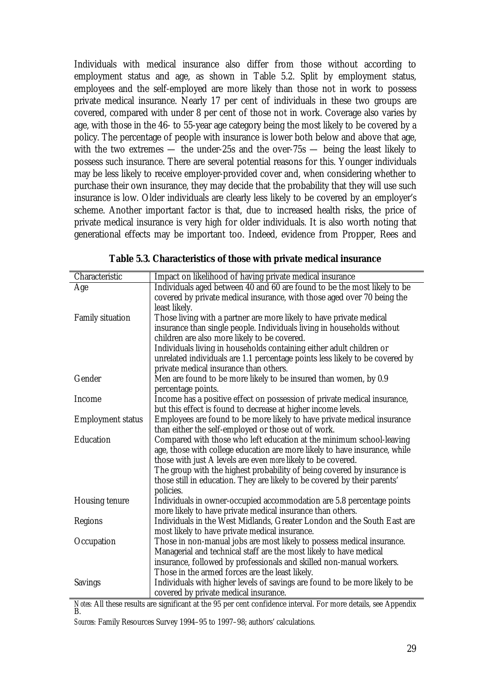Individuals with medical insurance also differ from those without according to employment status and age, as shown in Table 5.2. Split by employment status, employees and the self-employed are more likely than those not in work to possess private medical insurance. Nearly 17 per cent of individuals in these two groups are covered, compared with under 8 per cent of those not in work. Coverage also varies by age, with those in the 46- to 55-year age category being the most likely to be covered by a policy. The percentage of people with insurance is lower both below and above that age, with the two extremes — the under-25s and the over-75s — being the least likely to possess such insurance. There are several potential reasons for this. Younger individuals may be less likely to receive employer-provided cover and, when considering whether to purchase their own insurance, they may decide that the probability that they will use such insurance is low. Older individuals are clearly less likely to be covered by an employer's scheme. Another important factor is that, due to increased health risks, the price of private medical insurance is very high for older individuals. It is also worth noting that generational effects may be important too. Indeed, evidence from Propper, Rees and

| Characteristic           | Impact on likelihood of having private medical insurance                     |
|--------------------------|------------------------------------------------------------------------------|
| Age                      | Individuals aged between 40 and 60 are found to be the most likely to be     |
|                          | covered by private medical insurance, with those aged over 70 being the      |
|                          | least likely.                                                                |
| <b>Family situation</b>  | Those living with a partner are more likely to have private medical          |
|                          | insurance than single people. Individuals living in households without       |
|                          | children are also more likely to be covered.                                 |
|                          | Individuals living in households containing either adult children or         |
|                          | unrelated individuals are 1.1 percentage points less likely to be covered by |
|                          | private medical insurance than others.                                       |
| Gender                   | Men are found to be more likely to be insured than women, by 0.9             |
|                          | percentage points.                                                           |
| Income                   | Income has a positive effect on possession of private medical insurance,     |
|                          | but this effect is found to decrease at higher income levels.                |
| <b>Employment status</b> | Employees are found to be more likely to have private medical insurance      |
|                          | than either the self-employed or those out of work.                          |
| Education                | Compared with those who left education at the minimum school-leaving         |
|                          | age, those with college education are more likely to have insurance, while   |
|                          | those with just A levels are even more likely to be covered.                 |
|                          | The group with the highest probability of being covered by insurance is      |
|                          | those still in education. They are likely to be covered by their parents'    |
|                          | policies.                                                                    |
| <b>Housing tenure</b>    | Individuals in owner-occupied accommodation are 5.8 percentage points        |
|                          | more likely to have private medical insurance than others.                   |
| Regions                  | Individuals in the West Midlands, Greater London and the South East are      |
|                          | most likely to have private medical insurance.                               |
| Occupation               | Those in non-manual jobs are most likely to possess medical insurance.       |
|                          | Managerial and technical staff are the most likely to have medical           |
|                          | insurance, followed by professionals and skilled non-manual workers.         |
|                          | Those in the armed forces are the least likely.                              |
| <b>Savings</b>           | Individuals with higher levels of savings are found to be more likely to be  |
|                          | covered by private medical insurance.                                        |

*Notes:* All these results are significant at the 95 per cent confidence interval. For more details, see Appendix<br>B.

*Sources:* Family Resources Survey 1994–95 to 1997–98; authors' calculations.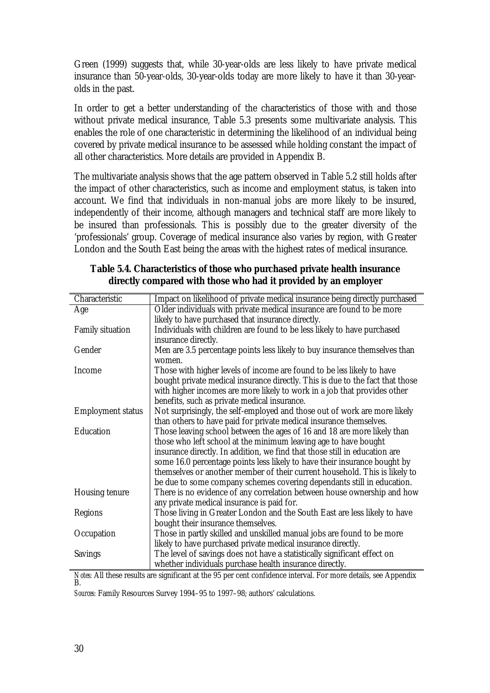Green (1999) suggests that, while 30-year-olds are less likely to have private medical insurance than 50-year-olds, 30-year-olds today are more likely to have it than 30-yearolds in the past.

In order to get a better understanding of the characteristics of those with and those without private medical insurance, Table 5.3 presents some multivariate analysis. This enables the role of one characteristic in determining the likelihood of an individual being covered by private medical insurance to be assessed while holding constant the impact of all other characteristics. More details are provided in Appendix B.

The multivariate analysis shows that the age pattern observed in Table 5.2 still holds after the impact of other characteristics, such as income and employment status, is taken into account. We find that individuals in non-manual jobs are more likely to be insured, independently of their income, although managers and technical staff are more likely to be insured than professionals. This is possibly due to the greater diversity of the 'professionals' group. Coverage of medical insurance also varies by region, with Greater London and the South East being the areas with the highest rates of medical insurance.

| Characteristic                                                                      | Impact on likelihood of private medical insurance being directly purchased                                                                                 |
|-------------------------------------------------------------------------------------|------------------------------------------------------------------------------------------------------------------------------------------------------------|
| Age                                                                                 | Older individuals with private medical insurance are found to be more                                                                                      |
|                                                                                     | likely to have purchased that insurance directly.                                                                                                          |
| <b>Family situation</b>                                                             | Individuals with children are found to be less likely to have purchased                                                                                    |
|                                                                                     | insurance directly.                                                                                                                                        |
| Gender                                                                              | Men are 3.5 percentage points less likely to buy insurance themselves than                                                                                 |
|                                                                                     | women.                                                                                                                                                     |
| Income                                                                              | Those with higher levels of income are found to be less likely to have                                                                                     |
|                                                                                     | bought private medical insurance directly. This is due to the fact that those                                                                              |
|                                                                                     | with higher incomes are more likely to work in a job that provides other                                                                                   |
|                                                                                     | benefits, such as private medical insurance.                                                                                                               |
| <b>Employment status</b>                                                            | Not surprisingly, the self-employed and those out of work are more likely                                                                                  |
|                                                                                     | than others to have paid for private medical insurance themselves.                                                                                         |
| Education                                                                           | Those leaving school between the ages of 16 and 18 are more likely than                                                                                    |
|                                                                                     | those who left school at the minimum leaving age to have bought                                                                                            |
|                                                                                     | insurance directly. In addition, we find that those still in education are                                                                                 |
|                                                                                     | some 16.0 percentage points less likely to have their insurance bought by                                                                                  |
|                                                                                     | themselves or another member of their current household. This is likely to                                                                                 |
|                                                                                     | be due to some company schemes covering dependants still in education.                                                                                     |
| <b>Housing tenure</b>                                                               | There is no evidence of any correlation between house ownership and how                                                                                    |
|                                                                                     | any private medical insurance is paid for.                                                                                                                 |
| Regions                                                                             | Those living in Greater London and the South East are less likely to have                                                                                  |
|                                                                                     | bought their insurance themselves.                                                                                                                         |
| Occupation                                                                          | Those in partly skilled and unskilled manual jobs are found to be more                                                                                     |
|                                                                                     | likely to have purchased private medical insurance directly.                                                                                               |
| <b>Savings</b>                                                                      | The level of savings does not have a statistically significant effect on                                                                                   |
|                                                                                     | whether individuals purchase health insurance directly.                                                                                                    |
| $\mathbf{M}$ $\mathbf{L}$ $\mathbf{L}$ $\mathbf{L}$ $\mathbf{M}$ $\mathbf{L}$<br>ъ. | $\mathcal{L} \cup \mathcal{R}$ and $\mathcal{R}$ and $\mathcal{R}$ and $\mathcal{R}$ and $\mathcal{R}$ and $\mathcal{R}$ and $\mathcal{R}$<br>$\mathbf{A}$ |

| Table 5.4. Characteristics of those who purchased private health insurance |  |  |
|----------------------------------------------------------------------------|--|--|
| directly compared with those who had it provided by an employer            |  |  |

*Notes:* All these results are significant at the 95 per cent confidence interval. For more details, see Appendix<br>B.

*Sources:* Family Resources Survey 1994–95 to 1997–98; authors' calculations.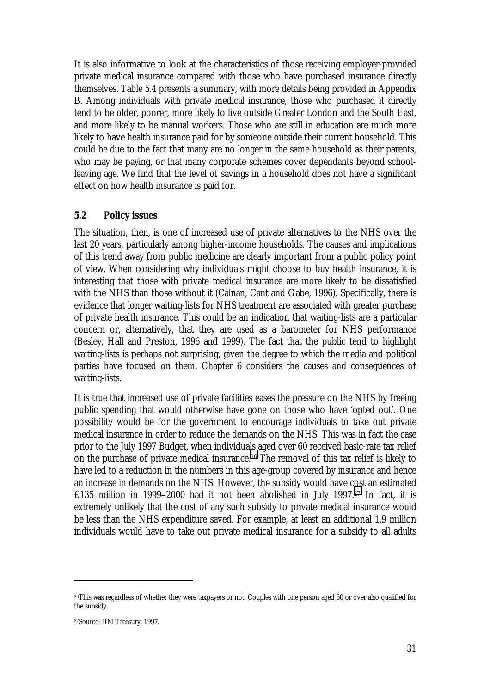It is also informative to look at the characteristics of those receiving employer-provided private medical insurance compared with those who have purchased insurance directly themselves. Table 5.4 presents a summary, with more details being provided in Appendix B. Among individuals with private medical insurance, those who purchased it directly tend to be older, poorer, more likely to live outside Greater London and the South East, and more likely to be manual workers. Those who are still in education are much more likely to have health insurance paid for by someone outside their current household. This could be due to the fact that many are no longer in the same household as their parents, who may be paying, or that many corporate schemes cover dependants beyond schoolleaving age. We find that the level of savings in a household does not have a significant effect on how health insurance is paid for.

## **5.2 Policy issues**

The situation, then, is one of increased use of private alternatives to the NHS over the last 20 years, particularly among higher-income households. The causes and implications of this trend away from public medicine are clearly important from a public policy point of view. When considering why individuals might choose to buy health insurance, it is interesting that those with private medical insurance are more likely to be dissatisfied with the NHS than those without it (Calnan, Cant and Gabe, 1996). Specifically, there is evidence that longer waiting-lists for NHS treatment are associated with greater purchase of private health insurance. This could be an indication that waiting-lists are a particular concern or, alternatively, that they are used as a barometer for NHS performance (Besley, Hall and Preston, 1996 and 1999). The fact that the public tend to highlight waiting-lists is perhaps not surprising, given the degree to which the media and political parties have focused on them. Chapter 6 considers the causes and consequences of waiting-lists.

It is true that increased use of private facilities eases the pressure on the NHS by freeing public spending that would otherwise have gone on those who have 'opted out'. One possibility would be for the government to encourage individuals to take out private medical insurance in order to reduce the demands on the NHS. This was in fact the case prior to the July 1997 Budget, when individuals aged over 60 received basic-rate tax relief on the purchase of private medical insurance.26 The removal of this tax relief is likely to have led to a reduction in the numbers in this age-group covered by insurance and hence an increase in demands on the NHS. However, the subsidy would have cost an estimated £135 million in 1999–2000 had it not been abolished in July 1997.27 In fact, it is extremely unlikely that the cost of any such subsidy to private medical insurance would be less than the NHS expenditure saved. For example, at least an additional 1.9 million individuals would have to take out private medical insurance for a subsidy to all adults

<sup>26</sup>This was regardless of whether they were taxpayers or not. Couples with one person aged 60 or over also qualified for the subsidy.

<sup>27</sup>Source: HM Treasury, 1997.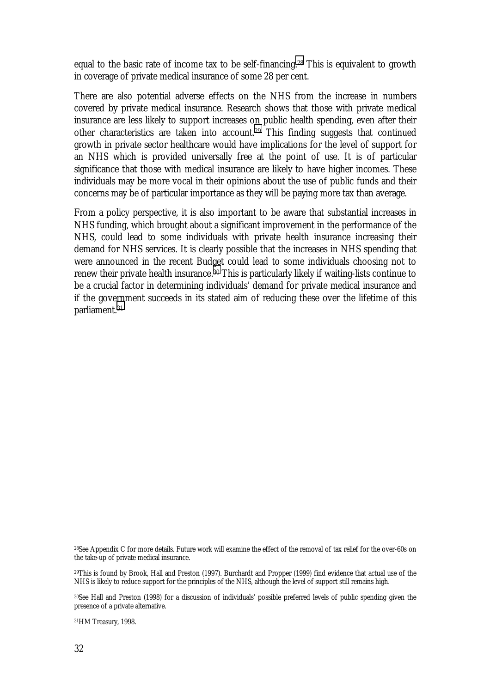equal to the basic rate of income tax to be self-financing.28 This is equivalent to growth in coverage of private medical insurance of some 28 per cent.

There are also potential adverse effects on the NHS from the increase in numbers covered by private medical insurance. Research shows that those with private medical insurance are less likely to support increases on public health spending, even after their other characteristics are taken into account.29 This finding suggests that continued growth in private sector healthcare would have implications for the level of support for an NHS which is provided universally free at the point of use. It is of particular significance that those with medical insurance are likely to have higher incomes. These individuals may be more vocal in their opinions about the use of public funds and their concerns may be of particular importance as they will be paying more tax than average.

From a policy perspective, it is also important to be aware that substantial increases in NHS funding, which brought about a significant improvement in the performance of the NHS, could lead to some individuals with private health insurance increasing their demand for NHS services. It is clearly possible that the increases in NHS spending that were announced in the recent Budget could lead to some individuals choosing not to renew their private health insurance.30 This is particularly likely if waiting-lists continue to be a crucial factor in determining individuals' demand for private medical insurance and if the government succeeds in its stated aim of reducing these over the lifetime of this parliament.31

31HM Treasury, 1998.

<sup>28</sup>See Appendix C for more details. Future work will examine the effect of the removal of tax relief for the over-60s on the take-up of private medical insurance.

<sup>29</sup>This is found by Brook, Hall and Preston (1997). Burchardt and Propper (1999) find evidence that actual use of the NHS is likely to reduce support for the principles of the NHS, although the level of support still remains high.

<sup>30</sup>See Hall and Preston (1998) for a discussion of individuals' possible preferred levels of public spending given the presence of a private alternative.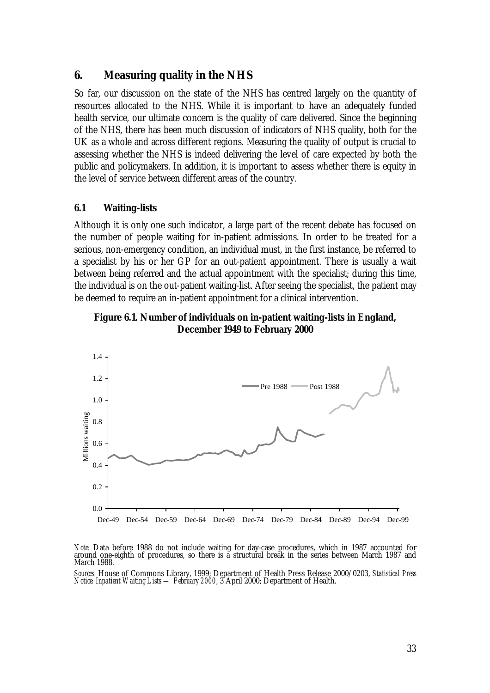## **6. Measuring quality in the NHS**

So far, our discussion on the state of the NHS has centred largely on the quantity of resources allocated to the NHS. While it is important to have an adequately funded health service, our ultimate concern is the quality of care delivered. Since the beginning of the NHS, there has been much discussion of indicators of NHS quality, both for the UK as a whole and across different regions. Measuring the quality of output is crucial to assessing whether the NHS is indeed delivering the level of care expected by both the public and policymakers. In addition, it is important to assess whether there is equity in the level of service between different areas of the country.

## **6.1 Waiting-lists**

Although it is only one such indicator, a large part of the recent debate has focused on the number of people waiting for in-patient admissions. In order to be treated for a serious, non-emergency condition, an individual must, in the first instance, be referred to a specialist by his or her GP for an out-patient appointment. There is usually a wait between being referred and the actual appointment with the specialist; during this time, the individual is on the out-patient waiting-list. After seeing the specialist, the patient may be deemed to require an in-patient appointment for a clinical intervention.





*Note:* Data before 1988 do not include waiting for day-case procedures, which in 1987 accounted for around one-eighth of procedures, so there is a structural break in the series between March 1987 and March 1988.

*Sources:* House of Commons Library, 1999; Department of Health Press Release 2000/0203, *Statistical Press Notice: Inpatient Waiting Lists — February 2000*, 3 April 2000; Department of Health.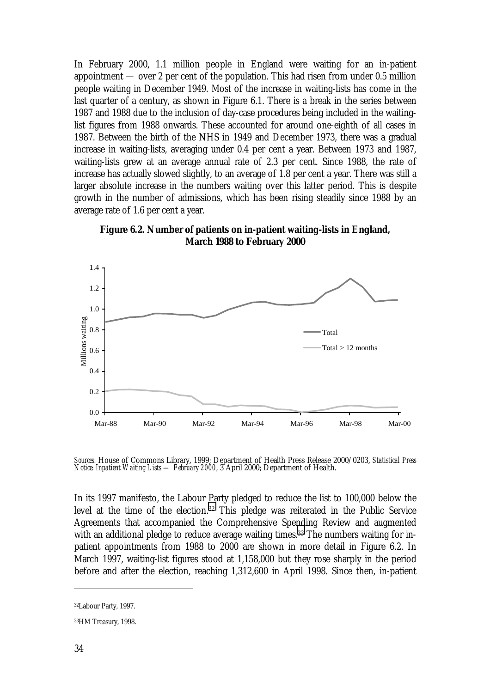In February 2000, 1.1 million people in England were waiting for an in-patient appointment — over 2 per cent of the population. This had risen from under 0.5 million people waiting in December 1949. Most of the increase in waiting-lists has come in the last quarter of a century, as shown in Figure 6.1. There is a break in the series between 1987 and 1988 due to the inclusion of day-case procedures being included in the waitinglist figures from 1988 onwards. These accounted for around one-eighth of all cases in 1987. Between the birth of the NHS in 1949 and December 1973, there was a gradual increase in waiting-lists, averaging under 0.4 per cent a year. Between 1973 and 1987, waiting-lists grew at an average annual rate of 2.3 per cent. Since 1988, the rate of increase has actually slowed slightly, to an average of 1.8 per cent a year. There was still a larger absolute increase in the numbers waiting over this latter period. This is despite growth in the number of admissions, which has been rising steadily since 1988 by an average rate of 1.6 per cent a year.



**Figure 6.2. Number of patients on in-patient waiting-lists in England, March 1988 to February 2000**

*Sources:* House of Commons Library, 1999; Department of Health Press Release 2000/0203, *Statistical Press Notice: Inpatient Waiting Lists — February 2000*, 3 April 2000; Department of Health.

In its 1997 manifesto, the Labour Party pledged to reduce the list to 100,000 below the level at the time of the election.32 This pledge was reiterated in the Public Service Agreements that accompanied the Comprehensive Spending Review and augmented with an additional pledge to reduce average waiting times.<sup>33</sup> The numbers waiting for inpatient appointments from 1988 to 2000 are shown in more detail in Figure 6.2. In March 1997, waiting-list figures stood at 1,158,000 but they rose sharply in the period before and after the election, reaching 1,312,600 in April 1998. Since then, in-patient

<sup>32</sup>Labour Party, 1997.

<sup>33</sup>HM Treasury, 1998.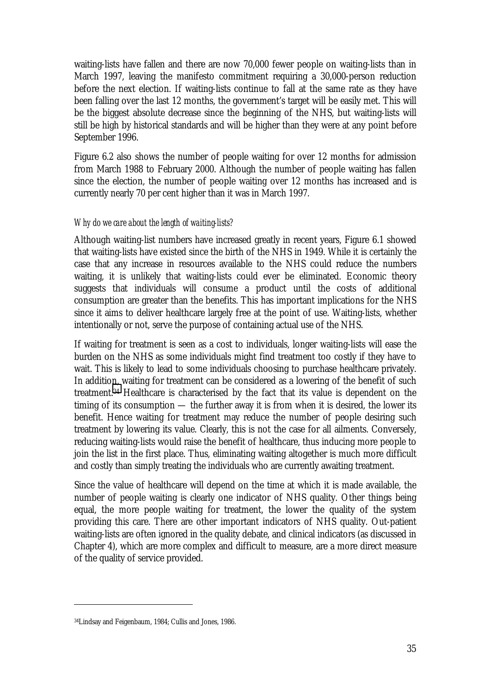waiting-lists have fallen and there are now 70,000 fewer people on waiting-lists than in March 1997, leaving the manifesto commitment requiring a 30,000-person reduction before the next election. If waiting-lists continue to fall at the same rate as they have been falling over the last 12 months, the government's target will be easily met. This will be the biggest absolute decrease since the beginning of the NHS, but waiting-lists will still be high by historical standards and will be higher than they were at any point before September 1996.

Figure 6.2 also shows the number of people waiting for over 12 months for admission from March 1988 to February 2000. Although the number of people waiting has fallen since the election, the number of people waiting over 12 months has increased and is currently nearly 70 per cent higher than it was in March 1997.

## *Why do we care about the length of waiting-lists?*

Although waiting-list numbers have increased greatly in recent years, Figure 6.1 showed that waiting-lists have existed since the birth of the NHS in 1949. While it is certainly the case that any increase in resources available to the NHS could reduce the numbers waiting, it is unlikely that waiting-lists could ever be eliminated. Economic theory suggests that individuals will consume a product until the costs of additional consumption are greater than the benefits. This has important implications for the NHS since it aims to deliver healthcare largely free at the point of use. Waiting-lists, whether intentionally or not, serve the purpose of containing actual use of the NHS.

If waiting for treatment is seen as a cost to individuals, longer waiting-lists will ease the burden on the NHS as some individuals might find treatment too costly if they have to wait. This is likely to lead to some individuals choosing to purchase healthcare privately. In addition, waiting for treatment can be considered as a lowering of the benefit of such treatment.34 Healthcare is characterised by the fact that its value is dependent on the timing of its consumption — the further away it is from when it is desired, the lower its benefit. Hence waiting for treatment may reduce the number of people desiring such treatment by lowering its value. Clearly, this is not the case for all ailments. Conversely, reducing waiting-lists would raise the benefit of healthcare, thus inducing more people to join the list in the first place. Thus, eliminating waiting altogether is much more difficult and costly than simply treating the individuals who are currently awaiting treatment.

Since the value of healthcare will depend on the time at which it is made available, the number of people waiting is clearly one indicator of NHS quality. Other things being equal, the more people waiting for treatment, the lower the quality of the system providing this care. There are other important indicators of NHS quality. Out-patient waiting-lists are often ignored in the quality debate, and clinical indicators (as discussed in Chapter 4), which are more complex and difficult to measure, are a more direct measure of the quality of service provided.

<sup>34</sup>Lindsay and Feigenbaum, 1984; Cullis and Jones, 1986.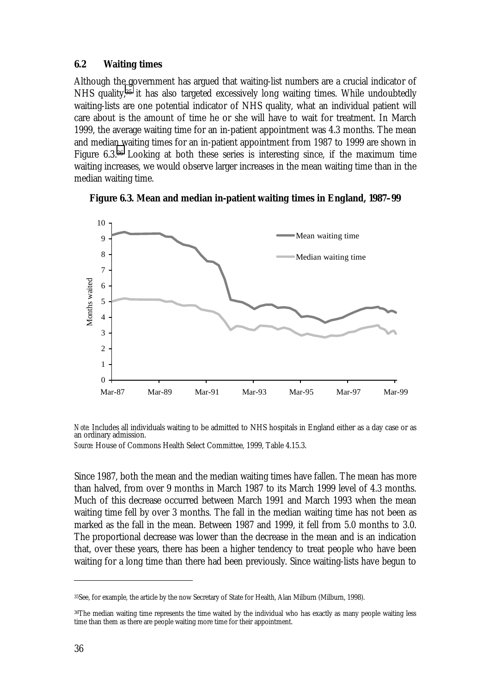#### **6.2 Waiting times**

Although the government has argued that waiting-list numbers are a crucial indicator of NHS quality,35 it has also targeted excessively long waiting times. While undoubtedly waiting-lists are one potential indicator of NHS quality, what an individual patient will care about is the amount of time he or she will have to wait for treatment. In March 1999, the average waiting time for an in-patient appointment was 4.3 months. The mean and median waiting times for an in-patient appointment from 1987 to 1999 are shown in Figure 6.3.36 Looking at both these series is interesting since, if the maximum time waiting increases, we would observe larger increases in the mean waiting time than in the median waiting time.



**Figure 6.3. Mean and median in-patient waiting times in England, 1987–99**

*Note:* Includes all individuals waiting to be admitted to NHS hospitals in England either as a day case or as an ordinary admission.

*Source:* House of Commons Health Select Committee, 1999, Table 4.15.3.

Since 1987, both the mean and the median waiting times have fallen. The mean has more than halved, from over 9 months in March 1987 to its March 1999 level of 4.3 months. Much of this decrease occurred between March 1991 and March 1993 when the mean waiting time fell by over 3 months. The fall in the median waiting time has not been as marked as the fall in the mean. Between 1987 and 1999, it fell from 5.0 months to 3.0. The proportional decrease was lower than the decrease in the mean and is an indication that, over these years, there has been a higher tendency to treat people who have been waiting for a long time than there had been previously. Since waiting-lists have begun to

<sup>35</sup>See, for example, the article by the now Secretary of State for Health, Alan Milburn (Milburn, 1998).

<sup>36</sup>The median waiting time represents the time waited by the individual who has exactly as many people waiting less time than them as there are people waiting more time for their appointment.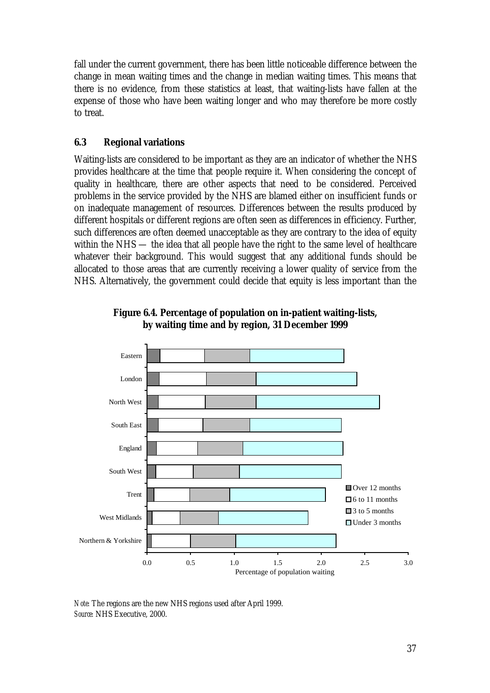fall under the current government, there has been little noticeable difference between the change in mean waiting times and the change in median waiting times. This means that there is no evidence, from these statistics at least, that waiting-lists have fallen at the expense of those who have been waiting longer and who may therefore be more costly to treat.

## **6.3 Regional variations**

Waiting-lists are considered to be important as they are an indicator of whether the NHS provides healthcare at the time that people require it. When considering the concept of quality in healthcare, there are other aspects that need to be considered. Perceived problems in the service provided by the NHS are blamed either on insufficient funds or on inadequate management of resources. Differences between the results produced by different hospitals or different regions are often seen as differences in efficiency. Further, such differences are often deemed unacceptable as they are contrary to the idea of equity within the NHS — the idea that all people have the right to the same level of healthcare whatever their background. This would suggest that any additional funds should be allocated to those areas that are currently receiving a lower quality of service from the NHS. Alternatively, the government could decide that equity is less important than the



**Figure 6.4. Percentage of population on in-patient waiting-lists, by waiting time and by region, 31 December 1999**

*Note:* The regions are the new NHS regions used after April 1999. *Source:* NHS Executive, 2000.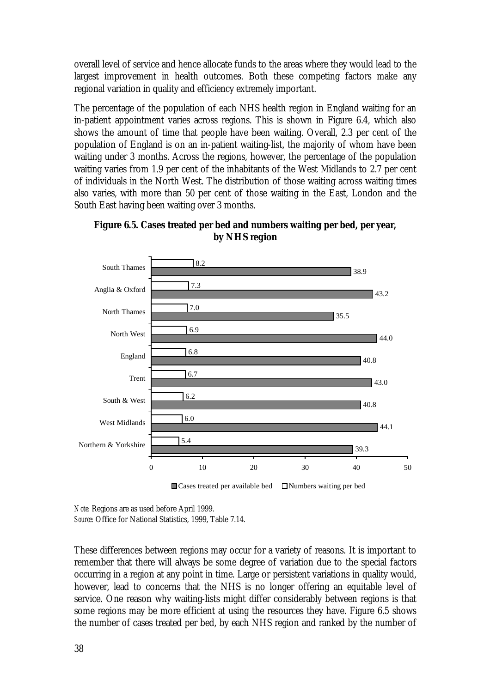overall level of service and hence allocate funds to the areas where they would lead to the largest improvement in health outcomes. Both these competing factors make any regional variation in quality and efficiency extremely important.

The percentage of the population of each NHS health region in England waiting for an in-patient appointment varies across regions. This is shown in Figure 6.4, which also shows the amount of time that people have been waiting. Overall, 2.3 per cent of the population of England is on an in-patient waiting-list, the majority of whom have been waiting under 3 months. Across the regions, however, the percentage of the population waiting varies from 1.9 per cent of the inhabitants of the West Midlands to 2.7 per cent of individuals in the North West. The distribution of those waiting across waiting times also varies, with more than 50 per cent of those waiting in the East, London and the South East having been waiting over 3 months.



**Figure 6.5. Cases treated per bed and numbers waiting per bed, per year, by NHS region**

 $\Box$  Cases treated per available bed  $\Box$  Numbers waiting per bed

*Note:* Regions are as used before April 1999. *Source:* Office for National Statistics, 1999, Table 7.14.

These differences between regions may occur for a variety of reasons. It is important to remember that there will always be some degree of variation due to the special factors occurring in a region at any point in time. Large or persistent variations in quality would, however, lead to concerns that the NHS is no longer offering an equitable level of service. One reason why waiting-lists might differ considerably between regions is that some regions may be more efficient at using the resources they have. Figure 6.5 shows the number of cases treated per bed, by each NHS region and ranked by the number of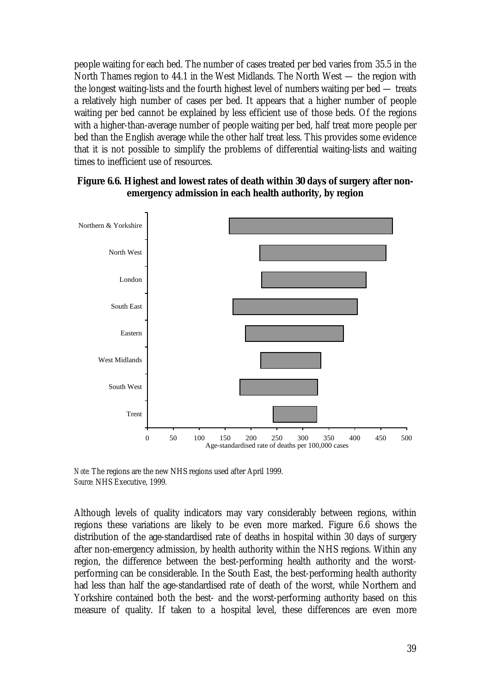people waiting for each bed. The number of cases treated per bed varies from 35.5 in the North Thames region to 44.1 in the West Midlands. The North West — the region with the longest waiting-lists and the fourth highest level of numbers waiting per bed — treats a relatively high number of cases per bed. It appears that a higher number of people waiting per bed cannot be explained by less efficient use of those beds. Of the regions with a higher-than-average number of people waiting per bed, half treat more people per bed than the English average while the other half treat less. This provides some evidence that it is not possible to simplify the problems of differential waiting-lists and waiting times to inefficient use of resources.



## **Figure 6.6. Highest and lowest rates of death within 30 days of surgery after nonemergency admission in each health authority, by region**

*Note:* The regions are the new NHS regions used after April 1999. *Source:* NHS Executive, 1999.

Although levels of quality indicators may vary considerably between regions, within regions these variations are likely to be even more marked. Figure 6.6 shows the distribution of the age-standardised rate of deaths in hospital within 30 days of surgery after non-emergency admission, by health authority within the NHS regions. Within any region, the difference between the best-performing health authority and the worstperforming can be considerable. In the South East, the best-performing health authority had less than half the age-standardised rate of death of the worst, while Northern and Yorkshire contained both the best- and the worst-performing authority based on this measure of quality. If taken to a hospital level, these differences are even more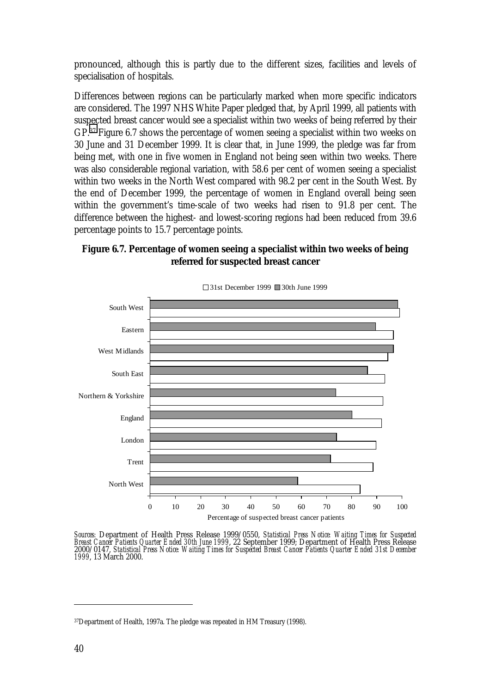pronounced, although this is partly due to the different sizes, facilities and levels of specialisation of hospitals.

Differences between regions can be particularly marked when more specific indicators are considered. The 1997 NHS White Paper pledged that, by April 1999, all patients with suspected breast cancer would see a specialist within two weeks of being referred by their GP.37 Figure 6.7 shows the percentage of women seeing a specialist within two weeks on 30 June and 31 December 1999. It is clear that, in June 1999, the pledge was far from being met, with one in five women in England not being seen within two weeks. There was also considerable regional variation, with 58.6 per cent of women seeing a specialist within two weeks in the North West compared with 98.2 per cent in the South West. By the end of December 1999, the percentage of women in England overall being seen within the government's time-scale of two weeks had risen to 91.8 per cent. The difference between the highest- and lowest-scoring regions had been reduced from 39.6 percentage points to 15.7 percentage points.

## **Figure 6.7. Percentage of women seeing a specialist within two weeks of being referred for suspected breast cancer**



31st December 1999 30th June 1999

Sources: Department of Health Press Release 1999/0550, Statistical Press Notice: Waiting Times for Suspected Breast Cancer Patients Quarter Ended 30th June 1999, 22 September 1999; Department of Health Press Release 2000/0

<sup>37</sup>Department of Health, 1997a. The pledge was repeated in HM Treasury (1998).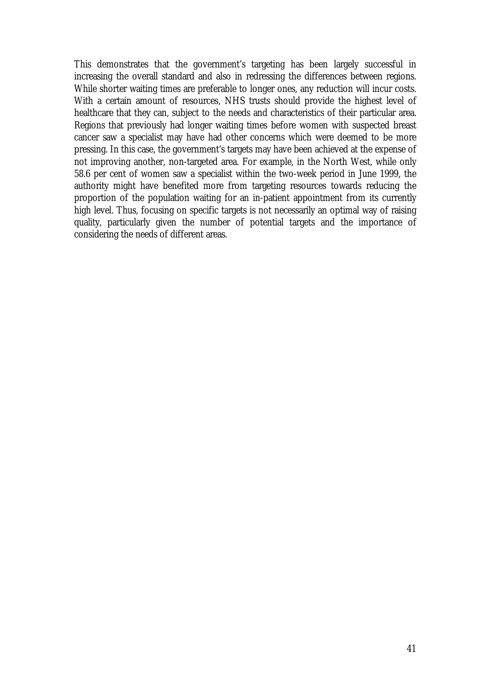This demonstrates that the government's targeting has been largely successful in increasing the overall standard and also in redressing the differences between regions. While shorter waiting times are preferable to longer ones, any reduction will incur costs. With a certain amount of resources, NHS trusts should provide the highest level of healthcare that they can, subject to the needs and characteristics of their particular area. Regions that previously had longer waiting times before women with suspected breast cancer saw a specialist may have had other concerns which were deemed to be more pressing. In this case, the government's targets may have been achieved at the expense of not improving another, non-targeted area. For example, in the North West, while only 58.6 per cent of women saw a specialist within the two-week period in June 1999, the authority might have benefited more from targeting resources towards reducing the proportion of the population waiting for an in-patient appointment from its currently high level. Thus, focusing on specific targets is not necessarily an optimal way of raising quality, particularly given the number of potential targets and the importance of considering the needs of different areas.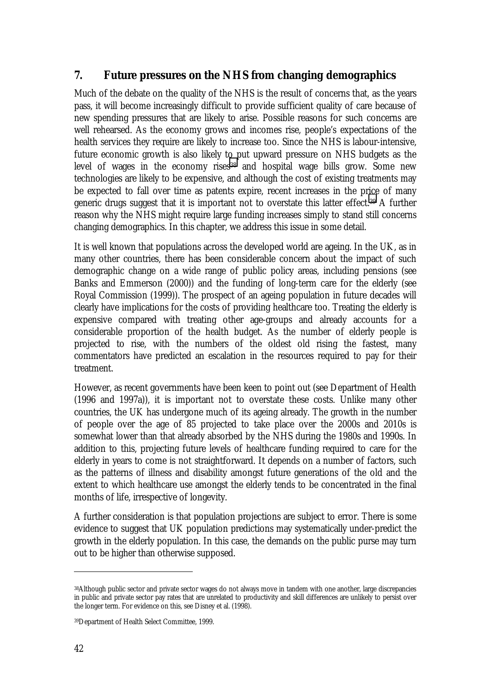# **7. Future pressures on the NHS from changing demographics**

Much of the debate on the quality of the NHS is the result of concerns that, as the years pass, it will become increasingly difficult to provide sufficient quality of care because of new spending pressures that are likely to arise. Possible reasons for such concerns are well rehearsed. As the economy grows and incomes rise, people's expectations of the health services they require are likely to increase too. Since the NHS is labour-intensive, future economic growth is also likely to put upward pressure on NHS budgets as the level of wages in the economy rises<sup>38</sup> and hospital wage bills grow. Some new technologies are likely to be expensive, and although the cost of existing treatments may be expected to fall over time as patents expire, recent increases in the price of many generic drugs suggest that it is important not to overstate this latter effect.39 A further reason why the NHS might require large funding increases simply to stand still concerns changing demographics. In this chapter, we address this issue in some detail.

It is well known that populations across the developed world are ageing. In the UK, as in many other countries, there has been considerable concern about the impact of such demographic change on a wide range of public policy areas, including pensions (see Banks and Emmerson (2000)) and the funding of long-term care for the elderly (see Royal Commission (1999)). The prospect of an ageing population in future decades will clearly have implications for the costs of providing healthcare too. Treating the elderly is expensive compared with treating other age-groups and already accounts for a considerable proportion of the health budget. As the number of elderly people is projected to rise, with the numbers of the oldest old rising the fastest, many commentators have predicted an escalation in the resources required to pay for their treatment.

However, as recent governments have been keen to point out (see Department of Health (1996 and 1997a)), it is important not to overstate these costs. Unlike many other countries, the UK has undergone much of its ageing already. The growth in the number of people over the age of 85 projected to take place over the 2000s and 2010s is somewhat lower than that already absorbed by the NHS during the 1980s and 1990s. In addition to this, projecting future levels of healthcare funding required to care for the elderly in years to come is not straightforward. It depends on a number of factors, such as the patterns of illness and disability amongst future generations of the old and the extent to which healthcare use amongst the elderly tends to be concentrated in the final months of life, irrespective of longevity.

A further consideration is that population projections are subject to error. There is some evidence to suggest that UK population predictions may systematically under-predict the growth in the elderly population. In this case, the demands on the public purse may turn out to be higher than otherwise supposed.

<sup>38</sup>Although public sector and private sector wages do not always move in tandem with one another, large discrepancies in public and private sector pay rates that are unrelated to productivity and skill differences are unlikely to persist over the longer term. For evidence on this, see Disney et al. (1998).

<sup>39</sup>Department of Health Select Committee, 1999.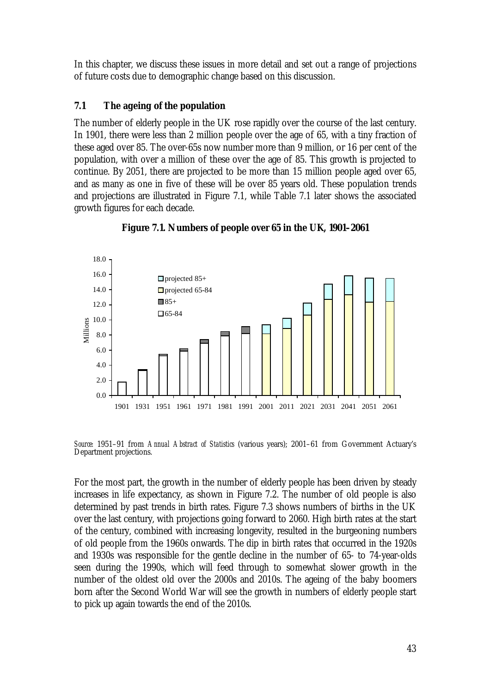In this chapter, we discuss these issues in more detail and set out a range of projections of future costs due to demographic change based on this discussion.

## **7.1 The ageing of the population**

The number of elderly people in the UK rose rapidly over the course of the last century. In 1901, there were less than 2 million people over the age of 65, with a tiny fraction of these aged over 85. The over-65s now number more than 9 million, or 16 per cent of the population, with over a million of these over the age of 85. This growth is projected to continue. By 2051, there are projected to be more than 15 million people aged over 65, and as many as one in five of these will be over 85 years old. These population trends and projections are illustrated in Figure 7.1, while Table 7.1 later shows the associated growth figures for each decade.



**Figure 7.1. Numbers of people over 65 in the UK, 1901–2061**

*Source:* 1951–91 from *Annual Abstract of Statistics* (various years); 2001–61 from Government Actuary's Department projections.

For the most part, the growth in the number of elderly people has been driven by steady increases in life expectancy, as shown in Figure 7.2. The number of old people is also determined by past trends in birth rates. Figure 7.3 shows numbers of births in the UK over the last century, with projections going forward to 2060. High birth rates at the start of the century, combined with increasing longevity, resulted in the burgeoning numbers of old people from the 1960s onwards. The dip in birth rates that occurred in the 1920s and 1930s was responsible for the gentle decline in the number of 65- to 74-year-olds seen during the 1990s, which will feed through to somewhat slower growth in the number of the oldest old over the 2000s and 2010s. The ageing of the baby boomers born after the Second World War will see the growth in numbers of elderly people start to pick up again towards the end of the 2010s.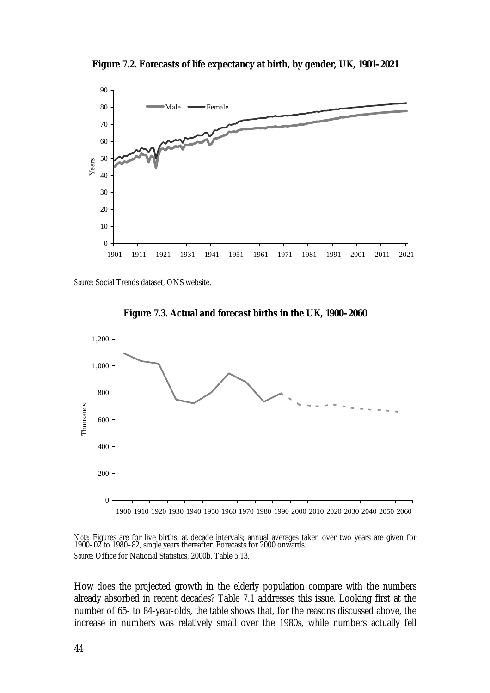**Figure 7.2. Forecasts of life expectancy at birth, by gender, UK, 1901–2021**



*Source:* Social Trends dataset, ONS website.





*Note:* Figures are for live births, at decade intervals; annual averages taken over two years are given for 1900–02 to 1980–82, single years thereafter. Forecasts for 2000 onwards. *Source:* Office for National Statistics, 2000b, Table 5.13.

How does the projected growth in the elderly population compare with the numbers already absorbed in recent decades? Table 7.1 addresses this issue. Looking first at the number of 65- to 84-year-olds, the table shows that, for the reasons discussed above, the increase in numbers was relatively small over the 1980s, while numbers actually fell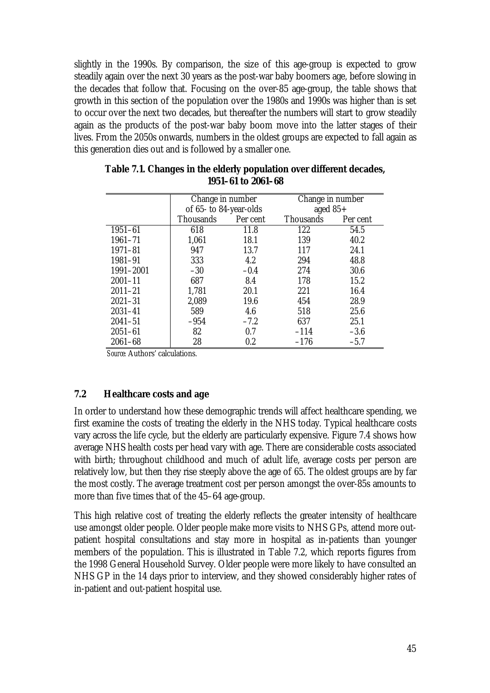slightly in the 1990s. By comparison, the size of this age-group is expected to grow steadily again over the next 30 years as the post-war baby boomers age, before slowing in the decades that follow that. Focusing on the over-85 age-group, the table shows that growth in this section of the population over the 1980s and 1990s was higher than is set to occur over the next two decades, but thereafter the numbers will start to grow steadily again as the products of the post-war baby boom move into the latter stages of their lives. From the 2050s onwards, numbers in the oldest groups are expected to fall again as this generation dies out and is followed by a smaller one.

|             | Change in number       |          | Change in number |          |  |
|-------------|------------------------|----------|------------------|----------|--|
|             | of 65- to 84-year-olds |          | aged $85+$       |          |  |
|             | <b>Thousands</b>       | Per cent | <b>Thousands</b> | Per cent |  |
| $1951 - 61$ | 618                    | 11.8     | 122              | 54.5     |  |
| $1961 - 71$ | 1,061                  | 18.1     | 139              | 40.2     |  |
| $1971 - 81$ | 947                    | 13.7     | 117              | 24.1     |  |
| 1981-91     | 333                    | 4.2      | 294              | 48.8     |  |
| 1991-2001   | $-30$                  | $-0.4$   | 274              | 30.6     |  |
| $2001 - 11$ | 687                    | 8.4      | 178              | 15.2     |  |
| $2011 - 21$ | 1,781                  | 20.1     | 221              | 16.4     |  |
| $2021 - 31$ | 2,089                  | 19.6     | 454              | 28.9     |  |
| $2031 - 41$ | 589                    | 4.6      | 518              | 25.6     |  |
| $2041 - 51$ | $-954$                 | $-7.2$   | 637              | 25.1     |  |
| $2051 - 61$ | 82                     | 0.7      | $-114$           | $-3.6$   |  |
| $2061 - 68$ | 28                     | $0.2\,$  | $-176$           | $-5.7$   |  |

**Table 7.1. Changes in the elderly population over different decades, 1951–61 to 2061–68**

*Source:* Authors' calculations.

## **7.2 Healthcare costs and age**

In order to understand how these demographic trends will affect healthcare spending, we first examine the costs of treating the elderly in the NHS today. Typical healthcare costs vary across the life cycle, but the elderly are particularly expensive. Figure 7.4 shows how average NHS health costs per head vary with age. There are considerable costs associated with birth; throughout childhood and much of adult life, average costs per person are relatively low, but then they rise steeply above the age of 65. The oldest groups are by far the most costly. The average treatment cost per person amongst the over-85s amounts to more than five times that of the 45–64 age-group.

This high relative cost of treating the elderly reflects the greater intensity of healthcare use amongst older people. Older people make more visits to NHS GPs, attend more outpatient hospital consultations and stay more in hospital as in-patients than younger members of the population. This is illustrated in Table 7.2, which reports figures from the 1998 General Household Survey. Older people were more likely to have consulted an NHS GP in the 14 days prior to interview, and they showed considerably higher rates of in-patient and out-patient hospital use.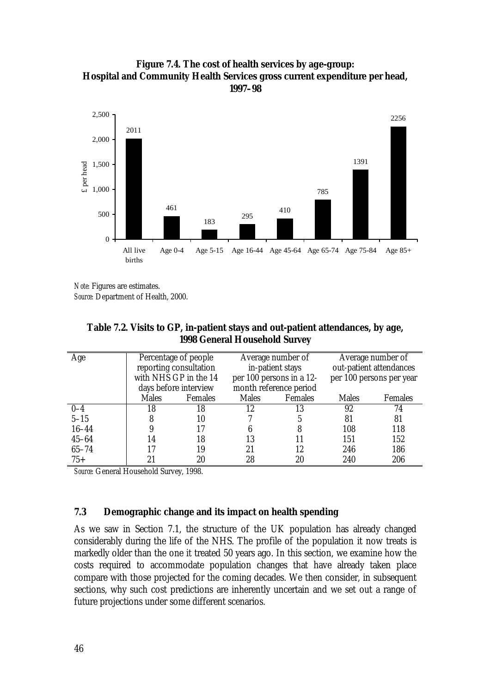



*Note:* Figures are estimates. *Source:* Department of Health, 2000.

| Table 7.2. Visits to GP, in-patient stays and out-patient attendances, by age, |
|--------------------------------------------------------------------------------|
| <b>1998 General Household Survey</b>                                           |

| Age       | Percentage of people   |                | Average number of        |                | Average number of        |                |
|-----------|------------------------|----------------|--------------------------|----------------|--------------------------|----------------|
|           | reporting consultation |                | in-patient stays         |                | out-patient attendances  |                |
|           | with NHS GP in the 14  |                | per 100 persons in a 12- |                | per 100 persons per year |                |
|           | days before interview  |                | month reference period   |                |                          |                |
|           | <b>Males</b>           | <b>Females</b> | <b>Males</b>             | <b>Females</b> | <b>Males</b>             | <b>Females</b> |
| $0 - 4$   | 18                     | 18             | 12                       | 13             | 92                       | 74             |
| $5 - 15$  |                        | 10             |                          |                | 81                       | 81             |
| $16 - 44$ |                        | 17             | 6                        |                | 108                      | 118            |
| $45 - 64$ | 14                     | 18             | 13                       |                | 151                      | 152            |
| $65 - 74$ |                        | 19             | 21                       | 12             | 246                      | 186            |
| $75+$     | 21                     | 20             | 28                       | 20             | 240                      | 206            |

*Source:* General Household Survey, 1998.

## **7.3 Demographic change and its impact on health spending**

As we saw in Section 7.1, the structure of the UK population has already changed considerably during the life of the NHS. The profile of the population it now treats is markedly older than the one it treated 50 years ago. In this section, we examine how the costs required to accommodate population changes that have already taken place compare with those projected for the coming decades. We then consider, in subsequent sections, why such cost predictions are inherently uncertain and we set out a range of future projections under some different scenarios.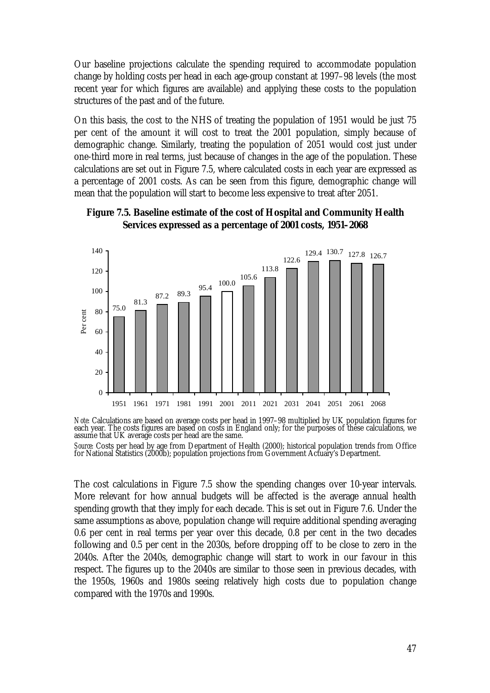Our baseline projections calculate the spending required to accommodate population change by holding costs per head in each age-group constant at 1997–98 levels (the most recent year for which figures are available) and applying these costs to the population structures of the past and of the future.

On this basis, the cost to the NHS of treating the population of 1951 would be just 75 per cent of the amount it will cost to treat the 2001 population, simply because of demographic change. Similarly, treating the population of 2051 would cost just under one-third more in real terms, just because of changes in the age of the population. These calculations are set out in Figure 7.5, where calculated costs in each year are expressed as a percentage of 2001 costs. As can be seen from this figure, demographic change will mean that the population will start to become less expensive to treat after 2051.



## **Figure 7.5. Baseline estimate of the cost of Hospital and Community Health Services expressed as a percentage of 2001 costs, 1951–2068**

*Note:* Calculations are based on average costs per head in 1997–98 multiplied by UK population figures for each year. The costs figures are based on costs in England only; for the purposes of these calculations, we assume that UK average costs per head are the same.

*Source:* Costs per head by age from Department of Health (2000); historical population trends from Office for National Statistics (2000b); population projections from Government Actuary's Department.

The cost calculations in Figure 7.5 show the spending changes over 10-year intervals. More relevant for how annual budgets will be affected is the average annual health spending growth that they imply for each decade. This is set out in Figure 7.6. Under the same assumptions as above, population change will require additional spending averaging 0.6 per cent in real terms per year over this decade, 0.8 per cent in the two decades following and 0.5 per cent in the 2030s, before dropping off to be close to zero in the 2040s. After the 2040s, demographic change will start to work in our favour in this respect. The figures up to the 2040s are similar to those seen in previous decades, with the 1950s, 1960s and 1980s seeing relatively high costs due to population change compared with the 1970s and 1990s.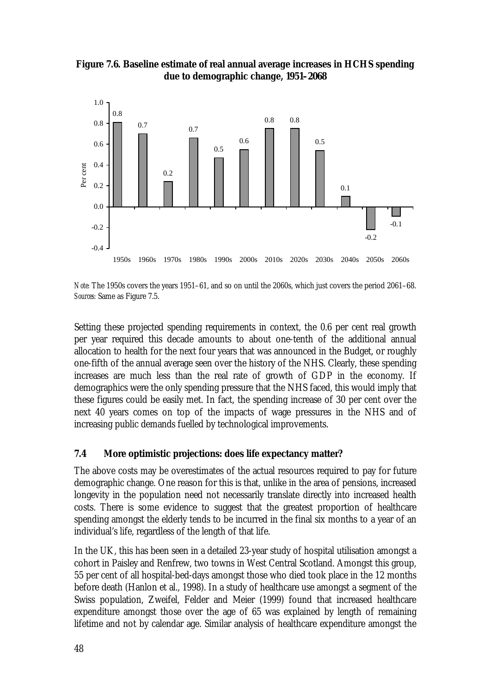



*Note:* The 1950s covers the years 1951–61, and so on until the 2060s, which just covers the period 2061–68. *Sources:* Same as Figure 7.5.

Setting these projected spending requirements in context, the 0.6 per cent real growth per year required this decade amounts to about one-tenth of the additional annual allocation to health for the next four years that was announced in the Budget, or roughly one-fifth of the annual average seen over the history of the NHS. Clearly, these spending increases are much less than the real rate of growth of GDP in the economy. If demographics were the only spending pressure that the NHS faced, this would imply that these figures could be easily met. In fact, the spending increase of 30 per cent over the next 40 years comes on top of the impacts of wage pressures in the NHS and of increasing public demands fuelled by technological improvements.

## **7.4 More optimistic projections: does life expectancy matter?**

The above costs may be overestimates of the actual resources required to pay for future demographic change. One reason for this is that, unlike in the area of pensions, increased longevity in the population need not necessarily translate directly into increased health costs. There is some evidence to suggest that the greatest proportion of healthcare spending amongst the elderly tends to be incurred in the final six months to a year of an individual's life, regardless of the length of that life.

In the UK, this has been seen in a detailed 23-year study of hospital utilisation amongst a cohort in Paisley and Renfrew, two towns in West Central Scotland. Amongst this group, 55 per cent of all hospital-bed-days amongst those who died took place in the 12 months before death (Hanlon et al., 1998). In a study of healthcare use amongst a segment of the Swiss population, Zweifel, Felder and Meier (1999) found that increased healthcare expenditure amongst those over the age of 65 was explained by length of remaining lifetime and not by calendar age. Similar analysis of healthcare expenditure amongst the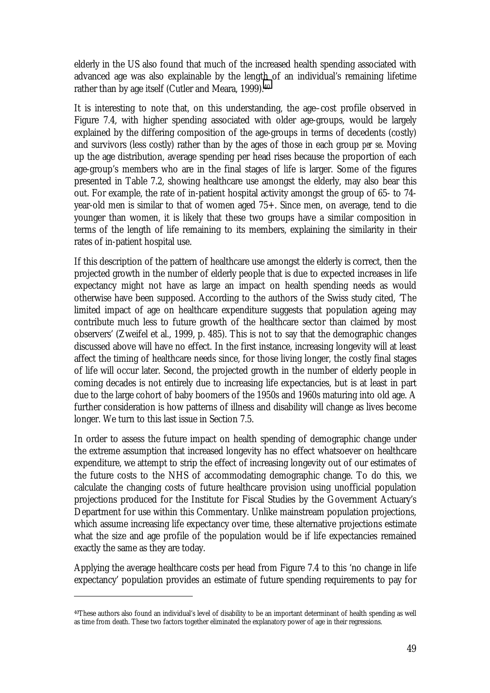elderly in the US also found that much of the increased health spending associated with advanced age was also explainable by the length of an individual's remaining lifetime rather than by age itself (Cutler and Meara, 1999).<sup>40</sup>

It is interesting to note that, on this understanding, the age–cost profile observed in Figure 7.4, with higher spending associated with older age-groups, would be largely explained by the differing composition of the age-groups in terms of decedents (costly) and survivors (less costly) rather than by the ages of those in each group *per se*. Moving up the age distribution, average spending per head rises because the proportion of each age-group's members who are in the final stages of life is larger. Some of the figures presented in Table 7.2, showing healthcare use amongst the elderly, may also bear this out. For example, the rate of in-patient hospital activity amongst the group of 65- to 74 year-old men is similar to that of women aged 75+. Since men, on average, tend to die younger than women, it is likely that these two groups have a similar composition in terms of the length of life remaining to its members, explaining the similarity in their rates of in-patient hospital use.

If this description of the pattern of healthcare use amongst the elderly is correct, then the projected growth in the number of elderly people that is due to expected increases in life expectancy might not have as large an impact on health spending needs as would otherwise have been supposed. According to the authors of the Swiss study cited, 'The limited impact of age on healthcare expenditure suggests that population ageing may contribute much less to future growth of the healthcare sector than claimed by most observers' (Zweifel et al., 1999, p. 485). This is not to say that the demographic changes discussed above will have no effect. In the first instance, increasing longevity will at least affect the timing of healthcare needs since, for those living longer, the costly final stages of life will occur later. Second, the projected growth in the number of elderly people in coming decades is not entirely due to increasing life expectancies, but is at least in part due to the large cohort of baby boomers of the 1950s and 1960s maturing into old age. A further consideration is how patterns of illness and disability will change as lives become longer. We turn to this last issue in Section 7.5.

In order to assess the future impact on health spending of demographic change under the extreme assumption that increased longevity has no effect whatsoever on healthcare expenditure, we attempt to strip the effect of increasing longevity out of our estimates of the future costs to the NHS of accommodating demographic change. To do this, we calculate the changing costs of future healthcare provision using unofficial population projections produced for the Institute for Fiscal Studies by the Government Actuary's Department for use within this Commentary. Unlike mainstream population projections, which assume increasing life expectancy over time, these alternative projections estimate what the size and age profile of the population would be if life expectancies remained exactly the same as they are today.

Applying the average healthcare costs per head from Figure 7.4 to this 'no change in life expectancy' population provides an estimate of future spending requirements to pay for

<sup>40</sup>These authors also found an individual's level of disability to be an important determinant of health spending as well as time from death. These two factors together eliminated the explanatory power of age in their regressions.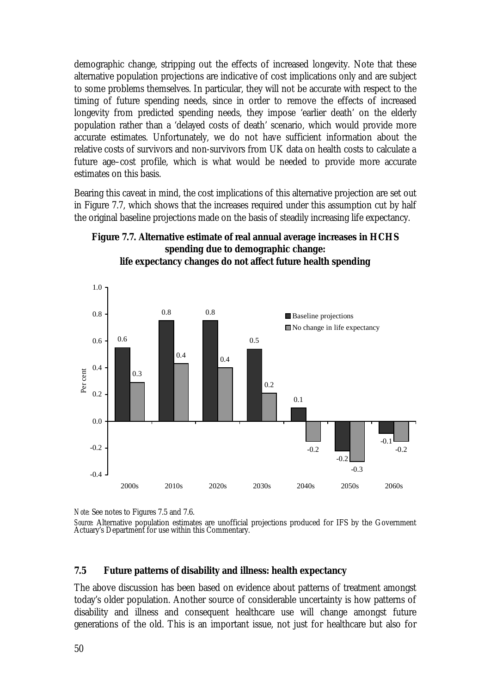demographic change, stripping out the effects of increased longevity. Note that these alternative population projections are indicative of cost implications only and are subject to some problems themselves. In particular, they will not be accurate with respect to the timing of future spending needs, since in order to remove the effects of increased longevity from predicted spending needs, they impose 'earlier death' on the elderly population rather than a 'delayed costs of death' scenario, which would provide more accurate estimates. Unfortunately, we do not have sufficient information about the relative costs of survivors and non-survivors from UK data on health costs to calculate a future age–cost profile, which is what would be needed to provide more accurate estimates on this basis.

Bearing this caveat in mind, the cost implications of this alternative projection are set out in Figure 7.7, which shows that the increases required under this assumption cut by half the original baseline projections made on the basis of steadily increasing life expectancy.

## **Figure 7.7. Alternative estimate of real annual average increases in HCHS spending due to demographic change: life expectancy changes do not affect future health spending**



*Note:* See notes to Figures 7.5 and 7.6.

## **7.5 Future patterns of disability and illness: health expectancy**

The above discussion has been based on evidence about patterns of treatment amongst today's older population. Another source of considerable uncertainty is how patterns of disability and illness and consequent healthcare use will change amongst future generations of the old. This is an important issue, not just for healthcare but also for

*Source:* Alternative population estimates are unofficial projections produced for IFS by the Government Actuary's Department for use within this Commentary.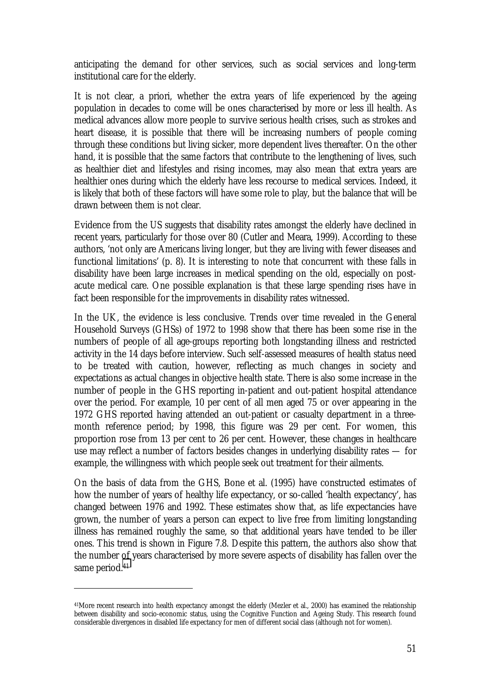anticipating the demand for other services, such as social services and long-term institutional care for the elderly.

It is not clear, a priori, whether the extra years of life experienced by the ageing population in decades to come will be ones characterised by more or less ill health. As medical advances allow more people to survive serious health crises, such as strokes and heart disease, it is possible that there will be increasing numbers of people coming through these conditions but living sicker, more dependent lives thereafter. On the other hand, it is possible that the same factors that contribute to the lengthening of lives, such as healthier diet and lifestyles and rising incomes, may also mean that extra years are healthier ones during which the elderly have less recourse to medical services. Indeed, it is likely that both of these factors will have some role to play, but the balance that will be drawn between them is not clear.

Evidence from the US suggests that disability rates amongst the elderly have declined in recent years, particularly for those over 80 (Cutler and Meara, 1999). According to these authors, 'not only are Americans living longer, but they are living with fewer diseases and functional limitations' (p. 8). It is interesting to note that concurrent with these falls in disability have been large increases in medical spending on the old, especially on postacute medical care. One possible explanation is that these large spending rises have in fact been responsible for the improvements in disability rates witnessed.

In the UK, the evidence is less conclusive. Trends over time revealed in the General Household Surveys (GHSs) of 1972 to 1998 show that there has been some rise in the numbers of people of all age-groups reporting both longstanding illness and restricted activity in the 14 days before interview. Such self-assessed measures of health status need to be treated with caution, however, reflecting as much changes in society and expectations as actual changes in objective health state. There is also some increase in the number of people in the GHS reporting in-patient and out-patient hospital attendance over the period. For example, 10 per cent of all men aged 75 or over appearing in the 1972 GHS reported having attended an out-patient or casualty department in a threemonth reference period; by 1998, this figure was 29 per cent. For women, this proportion rose from 13 per cent to 26 per cent. However, these changes in healthcare use may reflect a number of factors besides changes in underlying disability rates — for example, the willingness with which people seek out treatment for their ailments.

On the basis of data from the GHS, Bone et al. (1995) have constructed estimates of how the number of years of healthy life expectancy, or so-called 'health expectancy', has changed between 1976 and 1992. These estimates show that, as life expectancies have grown, the number of years a person can expect to live free from limiting longstanding illness has remained roughly the same, so that additional years have tended to be iller ones. This trend is shown in Figure 7.8. Despite this pattern, the authors also show that the number of years characterised by more severe aspects of disability has fallen over the same period.<sup>41</sup>

<sup>41</sup>More recent research into health expectancy amongst the elderly (Mezler et al., 2000) has examined the relationship between disability and socio-economic status, using the Cognitive Function and Ageing Study. This research found considerable divergences in disabled life expectancy for men of different social class (although not for women).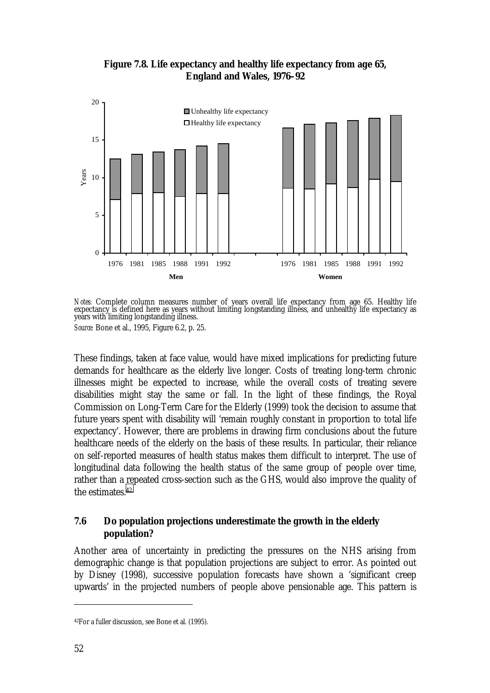

**Figure 7.8. Life expectancy and healthy life expectancy from age 65, England and Wales, 1976–92**

*Notes:* Complete column measures number of years overall life expectancy from age 65. Healthy life expectancy is defined here as years without limiting longstanding illness, and unhealthy life expectancy as years with limiting longstanding illness. *Source:* Bone et al., 1995, Figure 6.2, p. 25.

These findings, taken at face value, would have mixed implications for predicting future demands for healthcare as the elderly live longer. Costs of treating long-term chronic illnesses might be expected to increase, while the overall costs of treating severe disabilities might stay the same or fall. In the light of these findings, the Royal Commission on Long-Term Care for the Elderly (1999) took the decision to assume that future years spent with disability will 'remain roughly constant in proportion to total life expectancy'. However, there are problems in drawing firm conclusions about the future healthcare needs of the elderly on the basis of these results. In particular, their reliance on self-reported measures of health status makes them difficult to interpret. The use of longitudinal data following the health status of the same group of people over time, rather than a repeated cross-section such as the GHS, would also improve the quality of the estimates.42

## **7.6 Do population projections underestimate the growth in the elderly population?**

Another area of uncertainty in predicting the pressures on the NHS arising from demographic change is that population projections are subject to error. As pointed out by Disney (1998), successive population forecasts have shown a 'significant creep upwards' in the projected numbers of people above pensionable age. This pattern is

<sup>42</sup>For a fuller discussion, see Bone et al. (1995).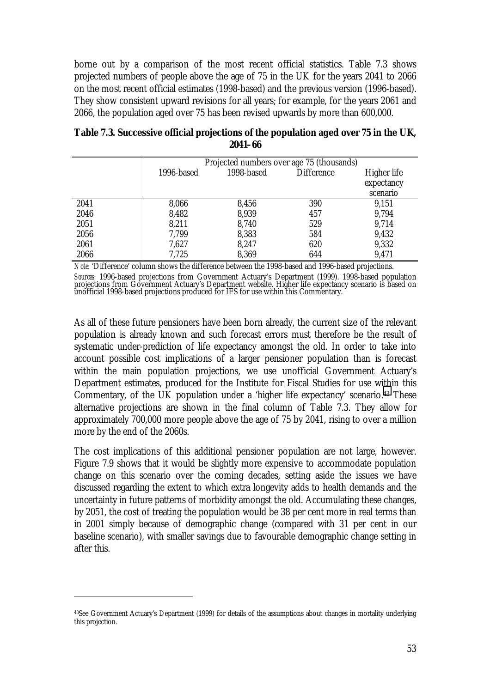borne out by a comparison of the most recent official statistics. Table 7.3 shows projected numbers of people above the age of 75 in the UK for the years 2041 to 2066 on the most recent official estimates (1998-based) and the previous version (1996-based). They show consistent upward revisions for all years; for example, for the years 2061 and 2066, the population aged over 75 has been revised upwards by more than 600,000.

|      | Projected numbers over age 75 (thousands) |            |                   |                    |
|------|-------------------------------------------|------------|-------------------|--------------------|
|      | 1996-based                                | 1998-based | <b>Difference</b> | <b>Higher life</b> |
|      |                                           |            |                   | expectancy         |
|      |                                           |            |                   | scenario           |
| 2041 | 8,066                                     | 8,456      | 390               | 9,151              |
| 2046 | 8,482                                     | 8,939      | 457               | 9,794              |
| 2051 | 8,211                                     | 8,740      | 529               | 9,714              |
| 2056 | 7,799                                     | 8,383      | 584               | 9,432              |
| 2061 | 7,627                                     | 8,247      | 620               | 9,332              |
| 2066 | 7,725                                     | 8,369      | 644               | 9,471              |

**Table 7.3. Successive official projections of the population aged over 75 in the UK, 2041–66**

*Note:* 'Difference' column shows the difference between the 1998-based and 1996-based projections. *Sources:* 1996-based projections from Government Actuary's Department (1999). 1998-based population<br>projections from Government Actuary's Department website. Higher life expectancy scenario is based on unofficial 1998-based projections produced for IFS for use within this Commentary.

As all of these future pensioners have been born already, the current size of the relevant population is already known and such forecast errors must therefore be the result of systematic under-prediction of life expectancy amongst the old. In order to take into account possible cost implications of a larger pensioner population than is forecast within the main population projections, we use unofficial Government Actuary's Department estimates, produced for the Institute for Fiscal Studies for use within this Commentary, of the UK population under a 'higher life expectancy' scenario.43 These alternative projections are shown in the final column of Table 7.3. They allow for approximately 700,000 more people above the age of 75 by 2041, rising to over a million more by the end of the 2060s.

The cost implications of this additional pensioner population are not large, however. Figure 7.9 shows that it would be slightly more expensive to accommodate population change on this scenario over the coming decades, setting aside the issues we have discussed regarding the extent to which extra longevity adds to health demands and the uncertainty in future patterns of morbidity amongst the old. Accumulating these changes, by 2051, the cost of treating the population would be 38 per cent more in real terms than in 2001 simply because of demographic change (compared with 31 per cent in our baseline scenario), with smaller savings due to favourable demographic change setting in after this.

<sup>43</sup>See Government Actuary's Department (1999) for details of the assumptions about changes in mortality underlying this projection.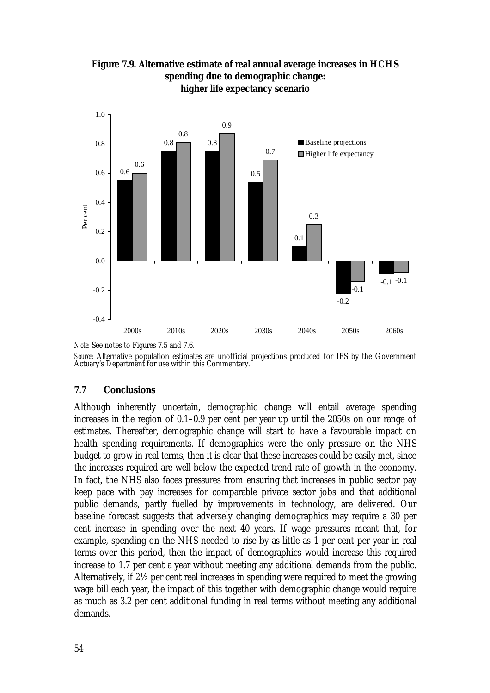

**Figure 7.9. Alternative estimate of real annual average increases in HCHS spending due to demographic change: higher life expectancy scenario**

*Source:* Alternative population estimates are unofficial projections produced for IFS by the Government Actuary's Department for use within this Commentary.

## **7.7 Conclusions**

Although inherently uncertain, demographic change will entail average spending increases in the region of 0.1–0.9 per cent per year up until the 2050s on our range of estimates. Thereafter, demographic change will start to have a favourable impact on health spending requirements. If demographics were the only pressure on the NHS budget to grow in real terms, then it is clear that these increases could be easily met, since the increases required are well below the expected trend rate of growth in the economy. In fact, the NHS also faces pressures from ensuring that increases in public sector pay keep pace with pay increases for comparable private sector jobs and that additional public demands, partly fuelled by improvements in technology, are delivered. Our baseline forecast suggests that adversely changing demographics may require a 30 per cent increase in spending over the next 40 years. If wage pressures meant that, for example, spending on the NHS needed to rise by as little as 1 per cent per year in real terms over this period, then the impact of demographics would increase this required increase to 1.7 per cent a year without meeting any additional demands from the public. Alternatively, if 2½ per cent real increases in spending were required to meet the growing wage bill each year, the impact of this together with demographic change would require as much as 3.2 per cent additional funding in real terms without meeting any additional demands.

*Note:* See notes to Figures 7.5 and 7.6.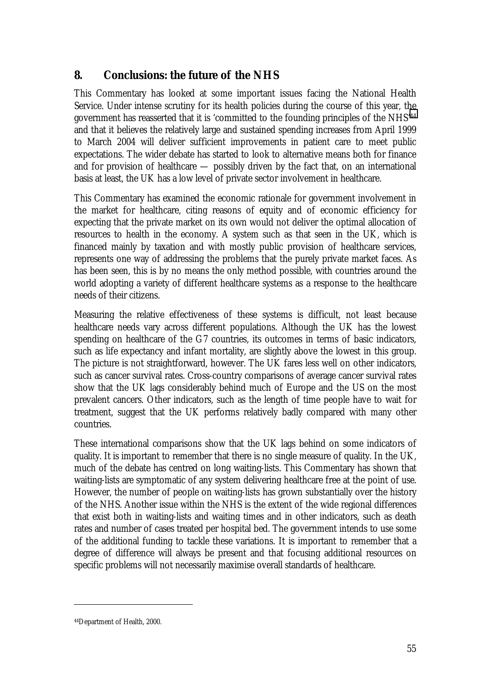# **8. Conclusions: the future of the NHS**

This Commentary has looked at some important issues facing the National Health Service. Under intense scrutiny for its health policies during the course of this year, the government has reasserted that it is 'committed to the founding principles of the NHS'44 and that it believes the relatively large and sustained spending increases from April 1999 to March 2004 will deliver sufficient improvements in patient care to meet public expectations. The wider debate has started to look to alternative means both for finance and for provision of healthcare — possibly driven by the fact that, on an international basis at least, the UK has a low level of private sector involvement in healthcare.

This Commentary has examined the economic rationale for government involvement in the market for healthcare, citing reasons of equity and of economic efficiency for expecting that the private market on its own would not deliver the optimal allocation of resources to health in the economy. A system such as that seen in the UK, which is financed mainly by taxation and with mostly public provision of healthcare services, represents one way of addressing the problems that the purely private market faces. As has been seen, this is by no means the only method possible, with countries around the world adopting a variety of different healthcare systems as a response to the healthcare needs of their citizens.

Measuring the relative effectiveness of these systems is difficult, not least because healthcare needs vary across different populations. Although the UK has the lowest spending on healthcare of the G7 countries, its outcomes in terms of basic indicators, such as life expectancy and infant mortality, are slightly above the lowest in this group. The picture is not straightforward, however. The UK fares less well on other indicators, such as cancer survival rates. Cross-country comparisons of average cancer survival rates show that the UK lags considerably behind much of Europe and the US on the most prevalent cancers. Other indicators, such as the length of time people have to wait for treatment, suggest that the UK performs relatively badly compared with many other countries.

These international comparisons show that the UK lags behind on some indicators of quality. It is important to remember that there is no single measure of quality. In the UK, much of the debate has centred on long waiting-lists. This Commentary has shown that waiting-lists are symptomatic of any system delivering healthcare free at the point of use. However, the number of people on waiting-lists has grown substantially over the history of the NHS. Another issue within the NHS is the extent of the wide regional differences that exist both in waiting-lists and waiting times and in other indicators, such as death rates and number of cases treated per hospital bed. The government intends to use some of the additional funding to tackle these variations. It is important to remember that a degree of difference will always be present and that focusing additional resources on specific problems will not necessarily maximise overall standards of healthcare.

<sup>44</sup>Department of Health, 2000.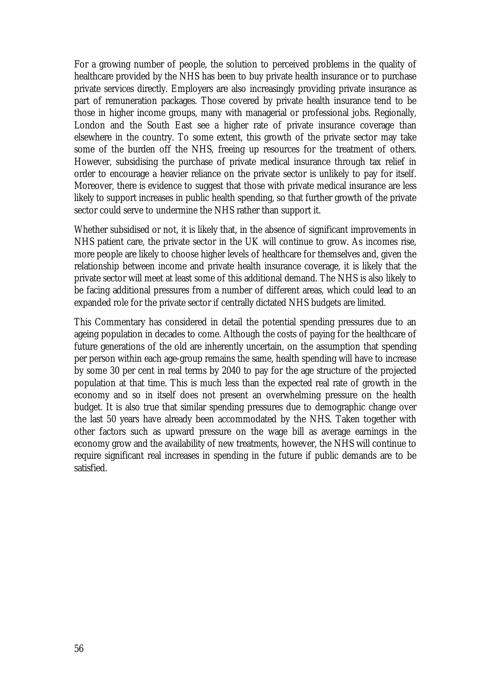For a growing number of people, the solution to perceived problems in the quality of healthcare provided by the NHS has been to buy private health insurance or to purchase private services directly. Employers are also increasingly providing private insurance as part of remuneration packages. Those covered by private health insurance tend to be those in higher income groups, many with managerial or professional jobs. Regionally, London and the South East see a higher rate of private insurance coverage than elsewhere in the country. To some extent, this growth of the private sector may take some of the burden off the NHS, freeing up resources for the treatment of others. However, subsidising the purchase of private medical insurance through tax relief in order to encourage a heavier reliance on the private sector is unlikely to pay for itself. Moreover, there is evidence to suggest that those with private medical insurance are less likely to support increases in public health spending, so that further growth of the private sector could serve to undermine the NHS rather than support it.

Whether subsidised or not, it is likely that, in the absence of significant improvements in NHS patient care, the private sector in the UK will continue to grow. As incomes rise, more people are likely to choose higher levels of healthcare for themselves and, given the relationship between income and private health insurance coverage, it is likely that the private sector will meet at least some of this additional demand. The NHS is also likely to be facing additional pressures from a number of different areas, which could lead to an expanded role for the private sector if centrally dictated NHS budgets are limited.

This Commentary has considered in detail the potential spending pressures due to an ageing population in decades to come. Although the costs of paying for the healthcare of future generations of the old are inherently uncertain, on the assumption that spending per person within each age-group remains the same, health spending will have to increase by some 30 per cent in real terms by 2040 to pay for the age structure of the projected population at that time. This is much less than the expected real rate of growth in the economy and so in itself does not present an overwhelming pressure on the health budget. It is also true that similar spending pressures due to demographic change over the last 50 years have already been accommodated by the NHS. Taken together with other factors such as upward pressure on the wage bill as average earnings in the economy grow and the availability of new treatments, however, the NHS will continue to require significant real increases in spending in the future if public demands are to be satisfied.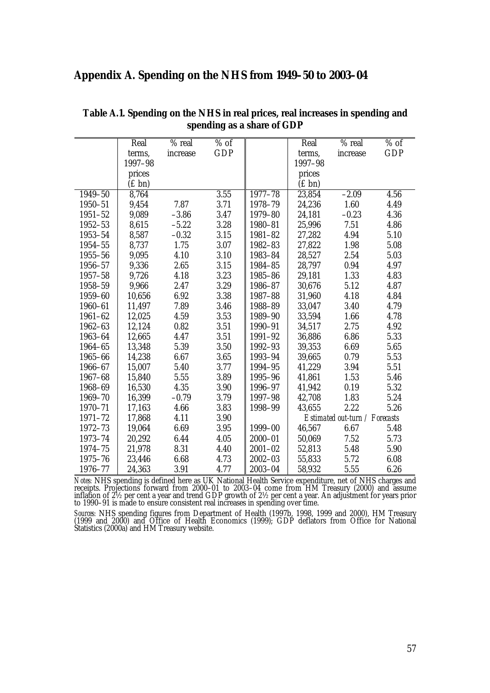## **Appendix A. Spending on the NHS from 1949–50 to 2003–04**

|             | Real        | % real   | $%$ of     |             | Real               | % real                         | $%$ of     |
|-------------|-------------|----------|------------|-------------|--------------------|--------------------------------|------------|
|             | terms,      | increase | <b>GDP</b> |             | terms,             | increase                       | <b>GDP</b> |
|             | 1997-98     |          |            |             | 1997-98            |                                |            |
|             | prices      |          |            |             | prices             |                                |            |
|             | $(f \, bn)$ |          |            |             | $(E \, \text{bn})$ |                                |            |
| 1949-50     | 8,764       |          | 3.55       | 1977-78     | 23,854             | $-2.09$                        | 4.56       |
| $1950 - 51$ | 9,454       | 7.87     | 3.71       | 1978-79     | 24,236             | 1.60                           | 4.49       |
| $1951 - 52$ | 9,089       | $-3.86$  | 3.47       | 1979-80     | 24,181             | $-0.23$                        | 4.36       |
| $1952 - 53$ | 8,615       | $-5.22$  | 3.28       | 1980-81     | 25,996             | 7.51                           | 4.86       |
| 1953-54     | 8,587       | $-0.32$  | 3.15       | 1981-82     | 27,282             | 4.94                           | 5.10       |
| $1954 - 55$ | 8,737       | 1.75     | 3.07       | 1982-83     | 27,822             | 1.98                           | 5.08       |
| $1955 - 56$ | 9,095       | 4.10     | 3.10       | 1983-84     | 28,527             | 2.54                           | 5.03       |
| 1956-57     | 9,336       | 2.65     | 3.15       | 1984-85     | 28,797             | 0.94                           | 4.97       |
| $1957 - 58$ | 9,726       | 4.18     | 3.23       | 1985-86     | 29,181             | 1.33                           | 4.83       |
| 1958-59     | 9,966       | 2.47     | 3.29       | 1986-87     | 30,676             | 5.12                           | 4.87       |
| 1959-60     | 10,656      | 6.92     | 3.38       | 1987-88     | 31,960             | 4.18                           | 4.84       |
| 1960-61     | 11,497      | 7.89     | 3.46       | 1988-89     | 33,047             | 3.40                           | 4.79       |
| $1961 - 62$ | 12,025      | 4.59     | 3.53       | 1989-90     | 33,594             | 1.66                           | 4.78       |
| 1962-63     | 12,124      | 0.82     | 3.51       | 1990-91     | 34,517             | 2.75                           | 4.92       |
| 1963-64     | 12,665      | 4.47     | 3.51       | 1991-92     | 36,886             | 6.86                           | 5.33       |
| 1964-65     | 13,348      | 5.39     | 3.50       | 1992-93     | 39,353             | 6.69                           | 5.65       |
| 1965-66     | 14,238      | 6.67     | 3.65       | 1993-94     | 39,665             | 0.79                           | 5.53       |
| 1966-67     | 15,007      | 5.40     | 3.77       | 1994-95     | 41,229             | 3.94                           | 5.51       |
| 1967-68     | 15,840      | 5.55     | 3.89       | 1995-96     | 41,861             | 1.53                           | 5.46       |
| 1968-69     | 16,530      | 4.35     | 3.90       | 1996-97     | 41,942             | 0.19                           | 5.32       |
| 1969-70     | 16,399      | $-0.79$  | 3.79       | 1997-98     | 42,708             | 1.83                           | 5.24       |
| 1970-71     | 17,163      | 4.66     | 3.83       | 1998-99     | 43,655             | 2.22                           | 5.26       |
| $1971 - 72$ | 17,868      | 4.11     | 3.90       |             |                    | Estimated out-turn / Forecasts |            |
| 1972-73     | 19,064      | 6.69     | 3.95       | 1999-00     | 46,567             | 6.67                           | 5.48       |
| 1973-74     | 20,292      | 6.44     | 4.05       | $2000 - 01$ | 50,069             | 7.52                           | 5.73       |
| 1974-75     | 21,978      | 8.31     | 4.40       | $2001 - 02$ | 52,813             | 5.48                           | 5.90       |
| $1975 - 76$ | 23,446      | 6.68     | 4.73       | $2002 - 03$ | 55,833             | 5.72                           | 6.08       |
| 1976-77     | 24,363      | 3.91     | 4.77       | $2003 - 04$ | 58,932             | 5.55                           | 6.26       |

**Table A.1. Spending on the NHS in real prices, real increases in spending and spending as a share of GDP**

*Notes:* NHS spending is defined here as UK National Health Service expenditure, net of NHS charges and receipts. Projections forward from 2000–01 to 2003–04 come from HM Treasury (2000) and assume inflation of 2½ per cent a year and trend GDP growth of 2½ per cent a year. An adjustment for years prior to 1990–91 is made to ensure consistent real increases in spending over time.

*Sources:* NHS spending figures from Department of Health (1997b, 1998, 1999 and 2000), HM Treasury (1999 and 2000) and Office of Health Economics (1999); GDP deflators from Office for National Statistics (2000a) and HM Treasury website.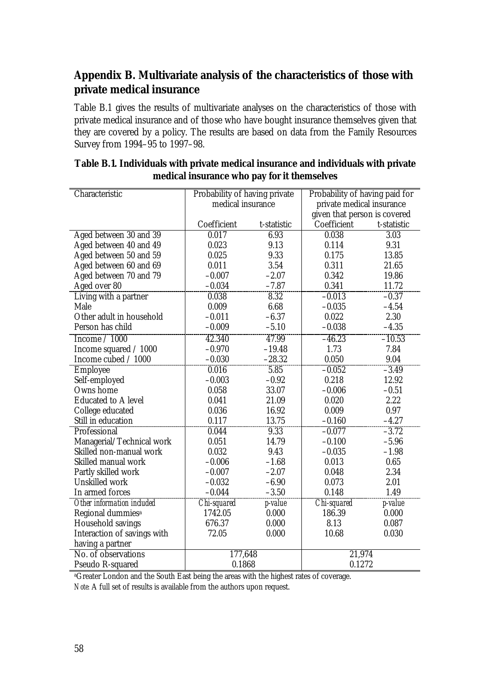# **Appendix B. Multivariate analysis of the characteristics of those with private medical insurance**

Table B.1 gives the results of multivariate analyses on the characteristics of those with private medical insurance and of those who have bought insurance themselves given that they are covered by a policy. The results are based on data from the Family Resources Survey from 1994–95 to 1997–98.

| Characteristic                | Probability of having private |                 | Probability of having paid for |                   |  |
|-------------------------------|-------------------------------|-----------------|--------------------------------|-------------------|--|
|                               | medical insurance             |                 | private medical insurance      |                   |  |
|                               |                               |                 | given that person is covered   |                   |  |
|                               | Coefficient                   | t-statistic     | Coefficient                    | t-statistic       |  |
| Aged between 30 and 39        | 0.017                         | 6.93            | 0.038                          | $\overline{3.03}$ |  |
| Aged between 40 and 49        | 0.023                         | 9.13            | 0.114                          | 9.31              |  |
| Aged between 50 and 59        | 0.025                         | 9.33            | 0.175                          | 13.85             |  |
| Aged between 60 and 69        | 0.011                         | 3.54            | 0.311                          | 21.65             |  |
| Aged between 70 and 79        | $-0.007$                      | $-2.07$         | 0.342                          | 19.86             |  |
| Aged over 80                  | $-0.034$                      | $-7.87$         | 0.341                          | 11.72             |  |
| Living with a partner         | 0.038                         | 8.32            | $-0.013$                       | $-0.37$           |  |
| Male                          | 0.009                         | 6.68            | $-0.035$                       | $-4.54$           |  |
| Other adult in household      | $-0.011$                      | $-6.37$         | 0.022                          | 2.30              |  |
| Person has child              | $-0.009$                      | $-5.10$         | $-0.038$                       | $-4.35$           |  |
| Income $/ 1000$               | 42.340                        | 47.99           | $-46.23$                       | $-10.53$          |  |
| Income squared / 1000         | $-0.970$                      | $-19.48$        | 1.73                           | 7.84              |  |
| Income cubed / 1000           | $-0.030$                      | $-28.32$        | 0.050                          | 9.04              |  |
| Employee                      | 0.016                         | 5.85            | $-0.052$                       | $-3.49$           |  |
| Self-employed                 | $-0.003$                      | $-0.92$         | 0.218                          | 12.92             |  |
| Owns home                     | 0.058                         | 33.07           | $-0.006$                       | $-0.51$           |  |
| <b>Educated to A level</b>    | 0.041                         | 21.09           | 0.020                          | 2.22              |  |
| College educated              | 0.036                         | 16.92           | 0.009                          | 0.97              |  |
| Still in education            | 0.117                         | 13.75           | $-0.160$                       | $-4.27$           |  |
| Professional                  | 0.044                         | 9.33            | $-0.077$                       | $-3.72$           |  |
| Managerial/Technical work     | 0.051                         | 14.79           | $-0.100$                       | $-5.96$           |  |
| Skilled non-manual work       | 0.032                         | 9.43            | $-0.035$                       | $-1.98$           |  |
| Skilled manual work           | $-0.006$                      | $-1.68$         | 0.013                          | 0.65              |  |
| Partly skilled work           | $-0.007$                      | $-2.07$         | 0.048                          | 2.34              |  |
| <b>Unskilled work</b>         | $-0.032$                      | $-6.90$         | 0.073                          | 2.01              |  |
| In armed forces               | $-0.044$                      | $-3.50$         | 0.148                          | 1.49              |  |
| Other information included    | Chi-squared                   | <i>p</i> -value | Chi-squared                    | <i>p</i> -value   |  |
| Regional dummies <sup>a</sup> | 1742.05                       | 0.000           | 186.39                         | 0.000             |  |
| <b>Household savings</b>      | 676.37                        | 0.000           | 8.13                           | 0.087             |  |
| Interaction of savings with   | 72.05                         | 0.000           | 10.68                          | 0.030             |  |
| having a partner              |                               |                 |                                |                   |  |
| No. of observations           | 177,648                       |                 | 21,974                         |                   |  |
| Pseudo R-squared              | 0.1868                        |                 | 0.1272                         |                   |  |

## **Table B.1. Individuals with private medical insurance and individuals with private medical insurance who pay for it themselves**

<sup>a</sup>Greater London and the South East being the areas with the highest rates of coverage.

*Note:* A full set of results is available from the authors upon request.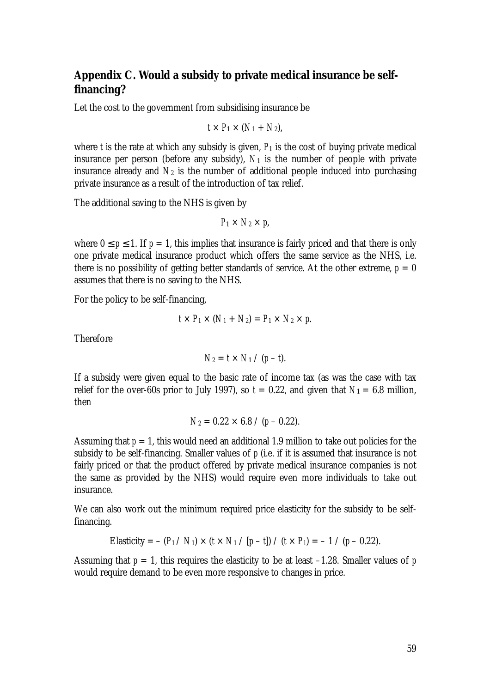# **Appendix C. Would a subsidy to private medical insurance be selffinancing?**

Let the cost to the government from subsidising insurance be

$$
t\times P_1\times (N_1+N_2),
$$

where *t* is the rate at which any subsidy is given,  $P_1$  is the cost of buying private medical insurance per person (before any subsidy),  $N_1$  is the number of people with private insurance already and  $N_2$  is the number of additional people induced into purchasing private insurance as a result of the introduction of tax relief.

The additional saving to the NHS is given by

$$
P_1 \times N_2 \times p
$$

where  $0 \le p \le 1$ . If  $p = 1$ , this implies that insurance is fairly priced and that there is only one private medical insurance product which offers the same service as the NHS, i.e. there is no possibility of getting better standards of service. At the other extreme,  $p = 0$ assumes that there is no saving to the NHS.

For the policy to be self-financing,

$$
t\times P_1\times (N_1+N_2)=P_1\times N_2\times p.
$$

Therefore

$$
N_2 = t \times N_1 / (p - t).
$$

If a subsidy were given equal to the basic rate of income tax (as was the case with tax relief for the over-60s prior to July 1997), so  $t = 0.22$ , and given that  $N_1 = 6.8$  million, then

$$
N_2 = 0.22 \times 6.8 / (p - 0.22).
$$

Assuming that  $p = 1$ , this would need an additional 1.9 million to take out policies for the subsidy to be self-financing. Smaller values of *p* (i.e. if it is assumed that insurance is not fairly priced or that the product offered by private medical insurance companies is not the same as provided by the NHS) would require even more individuals to take out insurance.

We can also work out the minimum required price elasticity for the subsidy to be selffinancing.

Elasticity = 
$$
-(P_1 / N_1) \times (t \times N_1 / [p - t]) / (t \times P_1) = -1 / (p - 0.22)
$$
.

Assuming that  $p = 1$ , this requires the elasticity to be at least  $-1.28$ . Smaller values of p would require demand to be even more responsive to changes in price.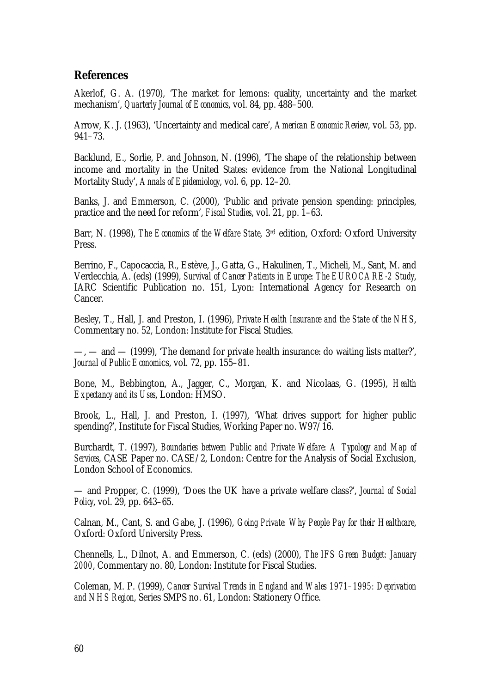## **References**

Akerlof, G. A. (1970), 'The market for lemons: quality, uncertainty and the market mechanism', *Quarterly Journal of Economics*, vol. 84, pp. 488–500.

Arrow, K. J. (1963), 'Uncertainty and medical care', *American Economic Review*, vol. 53, pp. 941–73.

Backlund, E., Sorlie, P. and Johnson, N. (1996), 'The shape of the relationship between income and mortality in the United States: evidence from the National Longitudinal Mortality Study', *Annals of Epidemiology*, vol. 6, pp. 12–20.

Banks, J. and Emmerson, C. (2000), 'Public and private pension spending: principles, practice and the need for reform', *Fiscal Studies*, vol. 21, pp. 1–63.

Barr, N. (1998), *The Economics of the Welfare State*, 3rd edition, Oxford: Oxford University Press.

Berrino, F., Capocaccia, R., Estève, J., Gatta, G., Hakulinen, T., Micheli, M., Sant, M. and Verdecchia, A. (eds) (1999), *Survival of Cancer Patients in Europe: The EUROCARE-2 Study*, IARC Scientific Publication no. 151, Lyon: International Agency for Research on Cancer.

Besley, T., Hall, J. and Preston, I. (1996), *Private Health Insurance and the State of the NHS*, Commentary no. 52, London: Institute for Fiscal Studies.

—, — and — (1999), 'The demand for private health insurance: do waiting lists matter?', *Journal of Public Economi*cs, vol. 72, pp. 155–81.

Bone, M., Bebbington, A., Jagger, C., Morgan, K. and Nicolaas, G. (1995), *Health Expectancy and its Uses*, London: HMSO.

Brook, L., Hall, J. and Preston, I. (1997), 'What drives support for higher public spending?', Institute for Fiscal Studies, Working Paper no. W97/16.

Burchardt, T. (1997), *Boundaries between Public and Private Welfare: A Typology and Map of Services*, CASE Paper no. CASE/2, London: Centre for the Analysis of Social Exclusion, London School of Economics.

— and Propper, C. (1999), 'Does the UK have a private welfare class?', *Journal of Social Policy*, vol. 29, pp. 643–65.

Calnan, M., Cant, S. and Gabe, J. (1996), *Going Private: Why People Pay for their Healthcare*, Oxford: Oxford University Press.

Chennells, L., Dilnot, A. and Emmerson, C. (eds) (2000), *The IFS Green Budget: January 2000*, Commentary no. 80, London: Institute for Fiscal Studies.

Coleman, M. P. (1999), *Cancer Survival Trends in England and Wales 1971–1995: Deprivation and NHS Region*, Series SMPS no. 61, London: Stationery Office.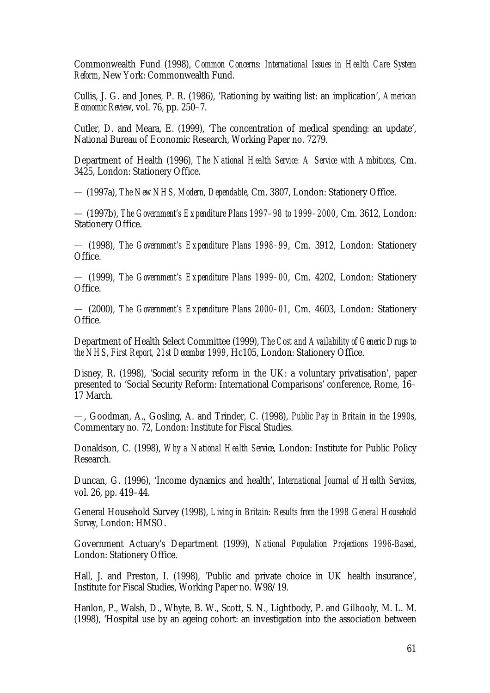Commonwealth Fund (1998), *Common Concerns: International Issues in Health Care System Reform*, New York: Commonwealth Fund.

Cullis, J. G. and Jones, P. R. (1986), 'Rationing by waiting list: an implication', *American Economic Review*, vol. 76, pp. 250–7.

Cutler, D. and Meara, E. (1999), 'The concentration of medical spending: an update', National Bureau of Economic Research, Working Paper no. 7279.

Department of Health (1996), *The National Health Service: A Service with Ambitions*, Cm. 3425, London: Stationery Office.

— (1997a), *The New NHS, Modern, Dependable*, Cm. 3807, London: Stationery Office.

— (1997b), *The Government's Expenditure Plans 1997–98 to 1999–2000*, Cm. 3612, London: Stationery Office.

— (1998), *The Government's Expenditure Plans 1998–99*, Cm. 3912, London: Stationery Office.

— (1999), *The Government's Expenditure Plans 1999–00*, Cm. 4202, London: Stationery Office.

— (2000), *The Government's Expenditure Plans 2000–01*, Cm. 4603, London: Stationery Office.

Department of Health Select Committee (1999), *The Cost and Availability of Generic Drugs to the NHS*, *First Report, 21st December 1999*, Hc105, London: Stationery Office.

Disney, R. (1998), 'Social security reform in the UK: a voluntary privatisation', paper presented to 'Social Security Reform: International Comparisons' conference, Rome, 16– 17 March.

—, Goodman, A., Gosling, A. and Trinder, C. (1998), *Public Pay in Britain in the 1990s*, Commentary no. 72, London: Institute for Fiscal Studies.

Donaldson, C. (1998), *Why a National Health Service*, London: Institute for Public Policy Research.

Duncan, G. (1996), 'Income dynamics and health', *International Journal of Health Services*, vol. 26, pp. 419–44.

General Household Survey (1998), *Living in Britain: Results from the 1998 General Household Survey*, London: HMSO.

Government Actuary's Department (1999), *National Population Projections 1996-Based*, London: Stationery Office.

Hall, J. and Preston, I. (1998), 'Public and private choice in UK health insurance', Institute for Fiscal Studies, Working Paper no. W98/19.

Hanlon, P., Walsh, D., Whyte, B. W., Scott, S. N., Lightbody, P. and Gilhooly, M. L. M. (1998), 'Hospital use by an ageing cohort: an investigation into the association between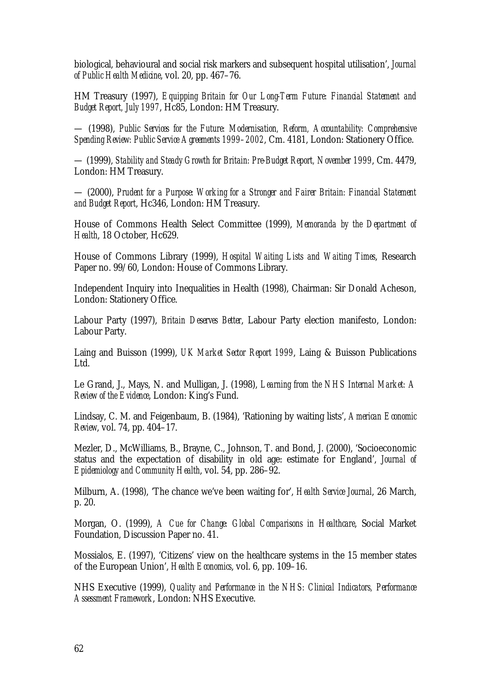biological, behavioural and social risk markers and subsequent hospital utilisation', *Journal of Public Health Medicine*, vol. 20, pp. 467–76.

HM Treasury (1997), *Equipping Britain for Our Long-Term Future: Financial Statement and Budget Report, July 1997*, Hc85, London: HM Treasury.

— (1998), *Public Services for the Future: Modernisation, Reform, Accountability: Comprehensive Spending Review: Public Service Agreements 1999–2002*, Cm. 4181, London: Stationery Office.

— (1999), *Stability and Steady Growth for Britain: Pre-Budget Report, November 1999*, Cm. 4479, London: HM Treasury.

— (2000), *Prudent for a Purpose: Working for a Stronger and Fairer Britain: Financial Statement and Budget Report*, Hc346, London: HM Treasury.

House of Commons Health Select Committee (1999), *Memoranda by the Department of Health*, 18 October, Hc629.

House of Commons Library (1999), *Hospital Waiting Lists and Waiting Times*, Research Paper no. 99/60, London: House of Commons Library.

Independent Inquiry into Inequalities in Health (1998), Chairman: Sir Donald Acheson, London: Stationery Office.

Labour Party (1997), *Britain Deserves Better*, Labour Party election manifesto, London: Labour Party.

Laing and Buisson (1999), *UK Market Sector Report 1999*, Laing & Buisson Publications Ltd.

Le Grand, J., Mays, N. and Mulligan, J. (1998), *Learning from the NHS Internal Market: A Review of the Evidence*, London: King's Fund.

Lindsay, C. M. and Feigenbaum, B. (1984), 'Rationing by waiting lists', *American Economic Review*, vol. 74, pp. 404–17.

Mezler, D., McWilliams, B., Brayne, C., Johnson, T. and Bond, J. (2000), 'Socioeconomic status and the expectation of disability in old age: estimate for England', *Journal of Epidemiology and Community Health*, vol. 54, pp. 286–92.

Milburn, A. (1998), 'The chance we've been waiting for', *Health Service Journal*, 26 March, p. 20.

Morgan, O. (1999), *A Cue for Change: Global Comparisons in Healthcare*, Social Market Foundation, Discussion Paper no. 41.

Mossialos, E. (1997), 'Citizens' view on the healthcare systems in the 15 member states of the European Union', *Health Economics*, vol. 6, pp. 109–16.

NHS Executive (1999), *Quality and Performance in the NHS: Clinical Indicators, Performance Assessment Framework*, London: NHS Executive.